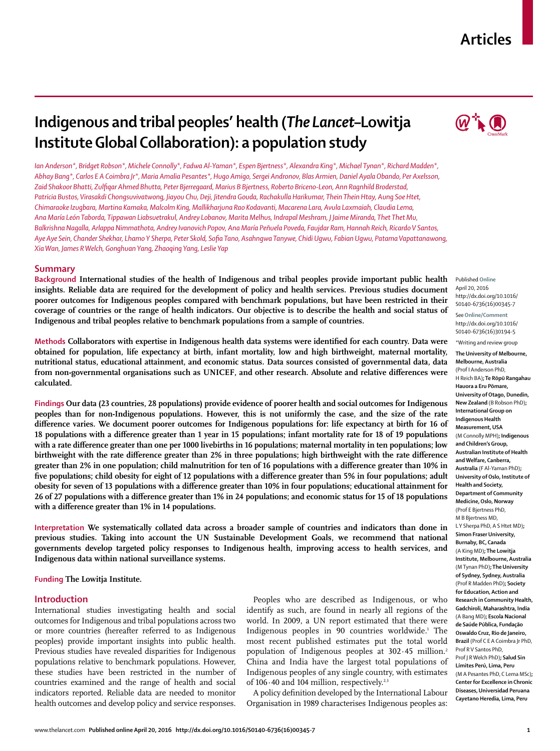# **Articles**

# **Indigenous and tribal peoples' health (***The Lancet***–Lowitja Institute Global Collaboration): a population study**

*Ian Anderson\*, Bridget Robson\*, Michele Connolly\*, Fadwa Al-Yaman\*, Espen Bjertness\*, Alexandra King\*, Michael Tynan\*, Richard Madden\*, Abhay Bang\*, Carlos E A Coimbra Jr\*, Maria Amalia Pesantes\*, Hugo Amigo, Sergei Andronov, Blas Armien, Daniel Ayala Obando, Per Axelsson,*  Zaid Shakoor Bhatti, Zulfiqar Ahmed Bhutta, Peter Bjerregaard, Marius B Bjertness, Roberto Briceno-Leon, Ann Ragnhild Broderstad, *Patricia Bustos, Virasakdi Chongsuvivatwong, Jiayou Chu, Deji, Jitendra Gouda, Rachakulla Harikumar, Thein Thein Htay, Aung Soe Htet, Chimaraoke Izugbara, Martina Kamaka, Malcolm King, Mallikharjuna Rao Kodavanti, Macarena Lara, Avula Laxmaiah, Claudia Lema, Ana María León Taborda, Tippawan Liabsuetrakul, Andrey Lobanov, Marita Melhus, Indrapal Meshram, J Jaime Miranda, Thet Thet Mu, Balkrishna Nagalla, Arlappa Nimmathota, Andrey Ivanovich Popov, Ana María Peñuela Poveda, Faujdar Ram, Hannah Reich, Ricardo V Santos, Aye Aye Sein, Chander Shekhar, Lhamo Y Sherpa, Peter Skold, Sofi a Tano, Asahngwa Tanywe, Chidi Ugwu, Fabian Ugwu, Patama Vapattanawong, Xia Wan, James R Welch, Gonghuan Yang, Zhaoqing Yang, Leslie Yap*

# **Summary**

**Background International studies of the health of Indigenous and tribal peoples provide important public health insights. Reliable data are required for the development of policy and health services. Previous studies document poorer outcomes for Indigenous peoples compared with benchmark populations, but have been restricted in their coverage of countries or the range of health indicators. Our objective is to describe the health and social status of Indigenous and tribal peoples relative to benchmark populations from a sample of countries.**

Methods Collaborators with expertise in Indigenous health data systems were identified for each country. Data were **obtained for population, life expectancy at birth, infant mortality, low and high birthweight, maternal mortality, nutritional status, educational attainment, and economic status. Data sources consisted of governmental data, data**  from non-governmental organisations such as UNICEF, and other research. Absolute and relative differences were **calculated.**

**Findings Our data (23 countries, 28 populations) provide evidence of poorer health and social outcomes for Indigenous peoples than for non-Indigenous populations. However, this is not uniformly the case, and the size of the rate**  difference varies. We document poorer outcomes for Indigenous populations for: life expectancy at birth for 16 of 18 populations with a difference greater than 1 year in 15 populations; infant mortality rate for 18 of 19 populations with a rate difference greater than one per 1000 livebirths in 16 populations; maternal mortality in ten populations; low birthweight with the rate difference greater than 2% in three populations; high birthweight with the rate difference greater than 2% in one population; child malnutrition for ten of 16 populations with a difference greater than 10% in five populations; child obesity for eight of 12 populations with a difference greater than 5% in four populations; adult **obesity for seven of 13 populations with a difference greater than 10% in four populations; educational attainment for** 26 of 27 populations with a difference greater than 1% in 24 populations; and economic status for 15 of 18 populations with a difference greater than 1% in 14 populations.

**Interpretation We systematically collated data across a broader sample of countries and indicators than done in previous studies. Taking into account the UN Sustainable Development Goals, we recommend that national governments develop targeted policy responses to Indigenous health, improving access to health services, and Indigenous data within national surveillance systems.**

**Funding The Lowitja Institute.**

# **Introduction**

International studies investigating health and social outcomes for Indigenous and tribal populations across two or more countries (hereafter referred to as Indigenous peoples) provide important insights into public health. Previous studies have revealed disparities for Indigenous populations relative to benchmark populations. However, these studies have been restricted in the number of countries examined and the range of health and social indicators reported. Reliable data are needed to monitor health outcomes and develop policy and service responses.

Peoples who are described as Indigenous, or who identify as such, are found in nearly all regions of the world. In 2009, a UN report estimated that there were Indigenous peoples in 90 countries worldwide.<sup>1</sup> The most recent published estimates put the total world population of Indigenous peoples at  $302.45$  million.<sup>2</sup> China and India have the largest total populations of Indigenous peoples of any single country, with estimates of  $106 \cdot 40$  and  $104$  million, respectively.<sup>2,3</sup>

A policy definition developed by the International Labour Organisation in 1989 characterises Indigenous peoples as:



Published **Online** April 20, 2016 http://dx.doi.org/10.1016/ S0140-6736(16)00345-7 See**Online/Comment** http://dx.doi.org/10.1016/ S0140-6736(16)30194-5 \*Writing and review group

**The University of Melbourne, Melbourne, Australia**  (Prof I Anderson PhD, H Reich BA)**; Te Rōpū Rangahau Hauora a Eru Pōmare, University of Otago, Dunedin, New Zealand** (B Robson PhD)**; International Group on Indigenous Health Measurement, USA**  (M Connolly MPH)**; Indigenous and Children's Group, Australian Institute of Health and Welfare, Canberra, Australia** (F Al-Yaman PhD)**; University of Oslo, Institute of Health and Society, Department of Community Medicine, Oslo, Norway**  (Prof E Bjertness PhD, M B Bjertness MD, L Y Sherpa PhD, A S Htet MD)**; Simon Fraser University, Burnaby, BC, Canada**  (A King MD)**; The Lowitja Institute, Melbourne, Australia**  (M Tynan PhD)**; The University of Sydney, Sydney, Australia**  (Prof R Madden PhD)**; Society for Education, Action and Research in Community Health, Gadchiroli, Maharashtra, India**  (A Bang MD)**; Escola Nacional de Saúde Pública, Fundação Oswaldo Cruz, Rio de Janeiro, Brazil** (Prof C E A Coimbra Jr PhD, Prof R V Santos PhD, Prof J R Welch PhD)**; Salud Sin Límites Perú, Lima, Peru**  (M A Pesantes PhD, C Lema MSc)**; Center for Excellence in Chronic Diseases, Universidad Peruana Cayetano Heredia, Lima, Peru**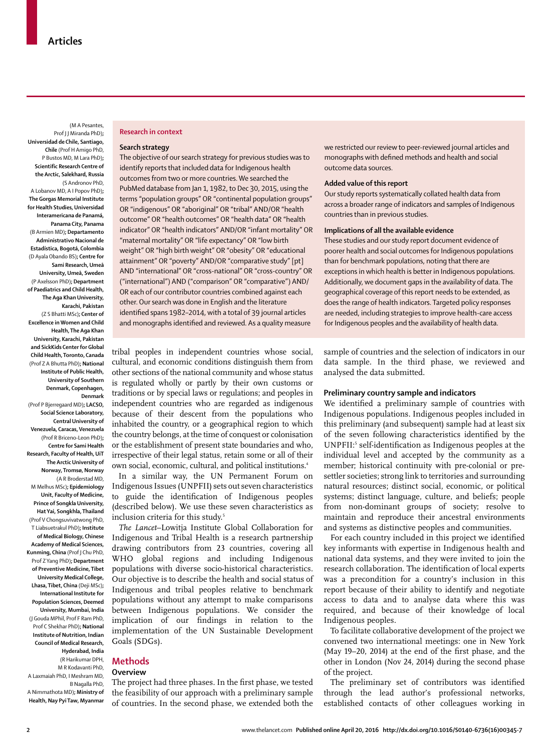(M A Pesantes, Prof I I Miranda PhD): **Universidad de Chile, Santiago, Chile** (Prof H Amigo PhD, P Bustos MD, M Lara PhD)**; Scientific Research Centre of the Arctic, Salekhard, Russia**  (S Andronov PhD, A Lobanov MD, A I Popov PhD)**; The Gorgas Memorial Institute for Health Studies, Universidad Interamericana de Panamá, Panama City, Panama**  (B Armien MD)**; Departamento Administrativo Nacional de Estadística, Bogotá, Colombia**  (D Ayala Obando BS)**; Centre for Sami Research, Umeå University, Umeå, Sweden**  (P Axelsson PhD)**; Department of Paediatrics and Child Health, The Aga Khan University, Karachi, Pakistan**  (Z S Bhatti MSc)**; Center of Excellence in Women and Child Health, The Aga Khan University, Karachi, Pakistan and SickKids Center for Global Child Health, Toronto, Canada**  (Prof Z A Bhutta PhD)**; National Institute of Public Health, University of Southern Denmark, Copenhagen,** 

**Denmark**  (Prof P Bjerregaard MD)**; LACSO, Social Science Laboratory, Central University of Venezuela, Caracas, Venezuela**  (Prof R Briceno-Leon PhD)**; Centre for Sami Health Research, Faculty of Health, UiT The Arctic University of Norway, Tromsø, Norway**  (A R Broderstad MD, M Melhus MSc)**; Epidemiology Unit, Faculty of Medicine, Prince of Songkla University, Hat Yai, Songkhla, Thailand**  (Prof V Chongsuvivatwong PhD, T Liabsuetrakul PhD)**; Institute of Medical Biology, Chinese Academy of Medical Sciences, Kunming, China** (Prof J Chu PhD, Prof Z Yang PhD)**; Department of Preventive Medicine, Tibet University Medical College, Lhasa, Tibet, China** (Deji MSc)**; International Institute for Population Sciences, Deemed University, Mumbai, India**  (J Gouda MPhil, Prof F Ram PhD, Prof C Shekhar PhD)**; National Institute of Nutrition, Indian Council of Medical Research, Hyderabad, India**  (R Harikumar DPH, M R Kodavanti PhD, A Laxmaiah PhD, I Meshram MD, B Nagalla PhD, A Nimmathota MD)**; Ministry of Health, Nay Pyi Taw, Myanmar**

#### **Research in context**

#### **Search strategy**

The objective of our search strategy for previous studies was to identify reports that included data for Indigenous health outcomes from two or more countries. We searched the PubMed database from Jan 1, 1982, to Dec 30, 2015, using the terms "population groups" OR "continental population groups" OR "indigenous" OR "aboriginal" OR "tribal" AND/OR "health outcome" OR "health outcomes" OR "health data" OR "health indicator" OR "health indicators" AND/OR "infant mortality" OR "maternal mortality" OR "life expectancy" OR "low birth weight" OR "high birth weight" OR "obesity" OR "educational attainment" OR "poverty" AND/OR "comparative study" [pt] AND "international" OR "cross-national" OR "cross-country" OR ("international") AND ("comparison" OR "comparative") AND/ OR each of our contributor countries combined against each other. Our search was done in English and the literature identified spans 1982-2014, with a total of 39 journal articles and monographs identified and reviewed. As a quality measure

tribal peoples in independent countries whose social, cultural, and economic conditions distinguish them from other sections of the national community and whose status is regulated wholly or partly by their own customs or traditions or by special laws or regulations; and peoples in independent countries who are regarded as indigenous because of their descent from the populations who inhabited the country, or a geographical region to which the country belongs, at the time of conquest or colonisation or the establishment of present state boundaries and who, irrespective of their legal status, retain some or all of their own social, economic, cultural, and political institutions.4

In a similar way, the UN Permanent Forum on Indigenous Issues (UNPFII) sets out seven characteristics to guide the identification of Indigenous peoples (described below). We use these seven characteristics as inclusion criteria for this study.<sup>5</sup>

*The Lancet*–Lowitja Institute Global Collaboration for Indigenous and Tribal Health is a research partnership drawing contributors from 23 countries, covering all WHO global regions and including Indigenous populations with diverse socio-historical characteristics. Our objective is to describe the health and social status of Indigenous and tribal peoples relative to benchmark populations without any attempt to make comparisons between Indigenous populations. We consider the implication of our findings in relation to the implementation of the UN Sustainable Development Goals (SDGs).

## **Methods**

#### **Overview**

The project had three phases. In the first phase, we tested the feasibility of our approach with a preliminary sample of countries. In the second phase, we extended both the we restricted our review to peer-reviewed journal articles and monographs with defined methods and health and social outcome data sources.

# **Added value of this report**

Our study reports systematically collated health data from across a broader range of indicators and samples of Indigenous countries than in previous studies.

## **Implications of all the available evidence**

These studies and our study report document evidence of poorer health and social outcomes for Indigenous populations than for benchmark populations, noting that there are exceptions in which health is better in Indigenous populations. Additionally, we document gaps in the availability of data. The geographical coverage of this report needs to be extended, as does the range of health indicators. Targeted policy responses are needed, including strategies to improve health-care access for Indigenous peoples and the availability of health data.

sample of countries and the selection of indicators in our data sample. In the third phase, we reviewed and analysed the data submitted.

# **Preliminary country sample and indicators**

We identified a preliminary sample of countries with Indigenous populations. Indigenous peoples included in this preliminary (and subsequent) sample had at least six of the seven following characteristics identified by the UNPFII:<sup>5</sup> self-identification as Indigenous peoples at the individual level and accepted by the community as a member; historical continuity with pre-colonial or presettler societies; strong link to territories and surrounding natural resources; distinct social, economic, or political systems; distinct language, culture, and beliefs; people from non-dominant groups of society; resolve to maintain and reproduce their ancestral environments and systems as distinctive peoples and communities.

For each country included in this project we identified key informants with expertise in Indigenous health and national data systems, and they were invited to join the research collaboration. The identification of local experts was a precondition for a country's inclusion in this report because of their ability to identify and negotiate access to data and to analyse data where this was required, and because of their knowledge of local Indigenous peoples.

To facilitate collaborative development of the project we convened two international meetings: one in New York (May  $19-20$ ,  $2014$ ) at the end of the first phase, and the other in London (Nov 24, 2014) during the second phase of the project.

The preliminary set of contributors was identified through the lead author's professional networks, established contacts of other colleagues working in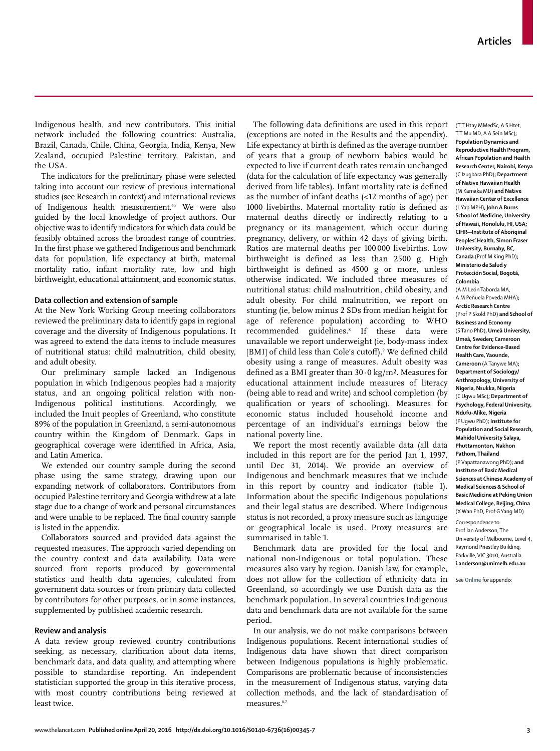Indigenous health, and new contributors. This initial network included the following countries: Australia, Brazil, Canada, Chile, China, Georgia, India, Kenya, New Zealand, occupied Palestine territory, Pakistan, and the USA.

The indicators for the preliminary phase were selected taking into account our review of previous international studies (see Research in context) and international reviews of Indigenous health measurement.<sup>6,7</sup> We were also guided by the local knowledge of project authors. Our objective was to identify indicators for which data could be feasibly obtained across the broadest range of countries. In the first phase we gathered Indigenous and benchmark data for population, life expectancy at birth, maternal mortality ratio, infant mortality rate, low and high birthweight, educational attainment, and economic status.

# **Data collection and extension of sample**

At the New York Working Group meeting collaborators reviewed the preliminary data to identify gaps in regional coverage and the diversity of Indigenous populations. It was agreed to extend the data items to include measures of nutritional status: child malnutrition, child obesity, and adult obesity.

Our preliminary sample lacked an Indigenous population in which Indigenous peoples had a majority status, and an ongoing political relation with non-Indigenous political institutions. Accordingly, we included the Inuit peoples of Greenland, who constitute 89% of the population in Greenland, a semi-autonomous country within the Kingdom of Denmark. Gaps in geographical coverage were identified in Africa, Asia, and Latin America.

We extended our country sample during the second phase using the same strategy, drawing upon our expanding network of collaborators. Contributors from occupied Palestine territory and Georgia withdrew at a late stage due to a change of work and personal circumstances and were unable to be replaced. The final country sample is listed in the appendix.

Collaborators sourced and provided data against the requested measures. The approach varied depending on the country context and data availability. Data were sourced from reports produced by governmental statistics and health data agencies, calculated from government data sources or from primary data collected by contributors for other purposes, or in some instances, supplemented by published academic research.

## **Review and analysis**

A data review group reviewed country contributions seeking, as necessary, clarification about data items, benchmark data, and data quality, and attempting where possible to standardise reporting. An independent statistician supported the group in this iterative process, with most country contributions being reviewed at least twice.

The following data definitions are used in this report (exceptions are noted in the Results and the appendix). Life expectancy at birth is defined as the average number of years that a group of newborn babies would be expected to live if current death rates remain unchanged (data for the calculation of life expectancy was generally derived from life tables). Infant mortality rate is defined as the number of infant deaths (<12 months of age) per 1000 livebirths. Maternal mortality ratio is defined as maternal deaths directly or indirectly relating to a pregnancy or its management, which occur during pregnancy, delivery, or within 42 days of giving birth. Ratios are maternal deaths per 100 000 livebirths. Low birthweight is defined as less than 2500 g. High birthweight is defined as 4500 g or more, unless otherwise indicated. We included three measures of nutritional status: child malnutrition, child obesity, and adult obesity. For child malnutrition, we report on stunting (ie, below minus 2 SDs from median height for age of reference population) according to WHO recommended guidelines.8 If these data were unavailable we report underweight (ie, body-mass index [BMI] of child less than Cole's cutoff).<sup>9</sup> We defined child obesity using a range of measures. Adult obesity was defined as a BMI greater than  $30.0 \text{ kg/m}^2$ . Measures for educational attainment include measures of literacy (being able to read and write) and school completion (by qualification or years of schooling). Measures for economic status included household income and percentage of an individual's earnings below the national poverty line.

We report the most recently available data (all data included in this report are for the period Jan 1, 1997, until Dec 31, 2014). We provide an overview of Indigenous and benchmark measures that we include in this report by country and indicator (table 1). Information about the specific Indigenous populations and their legal status are described. Where Indigenous status is not recorded, a proxy measure such as language or geographical locale is used. Proxy measures are summarised in table 1.

Benchmark data are provided for the local and national non-Indigenous or total population. These measures also vary by region. Danish law, for example, does not allow for the collection of ethnicity data in Greenland, so accordingly we use Danish data as the benchmark population. In several countries Indigenous data and benchmark data are not available for the same period.

In our analysis, we do not make comparisons between Indigenous populations. Recent international studies of Indigenous data have shown that direct comparison between Indigenous populations is highly problematic. Comparisons are problematic because of inconsistencies in the measurement of Indigenous status, varying data collection methods, and the lack of standardisation of measures.<sup>6,7</sup>

(T T Htay MMedSc, A S Htet, T T Mu MD, A A Sein MSc)**; Population Dynamics and Reproductive Health Program, African Population and Health Research Center, Nairobi, Kenya**  (C Izugbara PhD)**; Department of Native Hawaiian Health**  (M Kamaka MD) **and Native Hawaiian Center of Excellence**  (L Yap MPH)**, John A Burns School of Medicine, University of Hawaii, Honolulu, HI, USA; CIHR—Institute of Aboriginal Peoples' Health, Simon Fraser University, Burnaby, BC, Canada** (Prof M King PhD)**; Ministerio de Salud y Protección Social, Bogotá, Colombia** 

(A M León Taborda MA, A M Peñuela Poveda MHA)**; Arctic Research Centre**  (Prof P Skold PhD) **and School of Business and Economy**  (S Tano PhD)**, Umeå University, Umeå, Sweden; Cameroon Centre for Evidence-Based Health Care, Yaounde, Cameroon** (A Tanywe MA)**; Department of Sociology/ Anthropology, University of Nigeria, Nsukka, Nigeria** (C Ugwu MSc)**; Department of Psychology, Federal University, Ndufu-Alike, Nigeria**  (F Ugwu PhD)**; Institute for Population and Social Research, Mahidol University Salaya, Phuttamonton, Nakhon Pathom, Thailand**  (P Vapattanawong PhD)**; and Institute of Basic Medical Sciences at Chinese Academy of Medical Sciences & School of Basic Medicine at Peking Union Medical College, Beijing, China**  (X Wan PhD, Prof G Yang MD)

Correspondence to: Prof Ian Anderson, The University of Melbourne, Level 4, Raymond Priestley Building, Parkville, VIC 3010, Australia **i.anderson@unimelb.edu.au**

See **Online** for appendix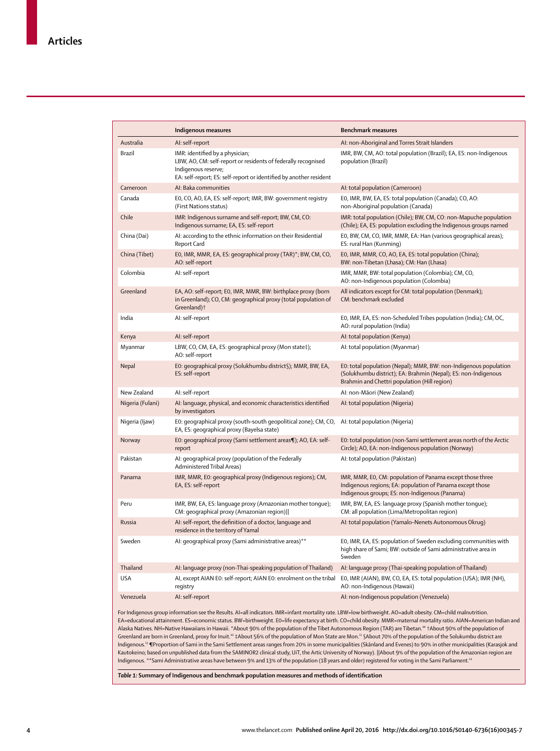|                  | Indigenous measures                                                                                                                                                                                                                                                                                                                                          | <b>Benchmark measures</b>                                                                                                                                                                                                                                                                                                                           |
|------------------|--------------------------------------------------------------------------------------------------------------------------------------------------------------------------------------------------------------------------------------------------------------------------------------------------------------------------------------------------------------|-----------------------------------------------------------------------------------------------------------------------------------------------------------------------------------------------------------------------------------------------------------------------------------------------------------------------------------------------------|
| Australia        | AI: self-report                                                                                                                                                                                                                                                                                                                                              | AI: non-Aboriginal and Torres Strait Islanders                                                                                                                                                                                                                                                                                                      |
| Brazil           | IMR: identified by a physician;<br>LBW, AO, CM: self-report or residents of federally recognised<br>Indigenous reserve;<br>EA: self-report; ES: self-report or identified by another resident                                                                                                                                                                | IMR, BW, CM, AO: total population (Brazil); EA, ES: non-Indigenous<br>population (Brazil)                                                                                                                                                                                                                                                           |
| Cameroon         | AI: Baka communities                                                                                                                                                                                                                                                                                                                                         | AI: total population (Cameroon)                                                                                                                                                                                                                                                                                                                     |
| Canada           | E0, CO, AO, EA, ES: self-report; IMR, BW: government registry<br>(First Nations status)                                                                                                                                                                                                                                                                      | EO, IMR, BW, EA, ES: total population (Canada); CO, AO:<br>non-Aboriginal population (Canada)                                                                                                                                                                                                                                                       |
| Chile            | IMR: Indigenous surname and self-report; BW, CM, CO:<br>Indigenous surname; EA, ES: self-report                                                                                                                                                                                                                                                              | IMR: total population (Chile); BW, CM, CO: non-Mapuche population<br>(Chile); EA, ES: population excluding the Indigenous groups named                                                                                                                                                                                                              |
| China (Dai)      | AI: according to the ethnic information on their Residential<br>Report Card                                                                                                                                                                                                                                                                                  | EO, BW, CM, CO, IMR, MMR, EA: Han (various geographical areas);<br>ES: rural Han (Kunming)                                                                                                                                                                                                                                                          |
| China (Tibet)    | EO, IMR, MMR, EA, ES: geographical proxy (TAR)*; BW, CM, CO,<br>AO: self-report                                                                                                                                                                                                                                                                              | EO, IMR, MMR, CO, AO, EA, ES: total population (China);<br>BW: non-Tibetan (Lhasa); CM: Han (Lhasa)                                                                                                                                                                                                                                                 |
| Colombia         | AI: self-report                                                                                                                                                                                                                                                                                                                                              | IMR, MMR, BW: total population (Colombia); CM, CO,<br>AO: non-Indigenous population (Colombia)                                                                                                                                                                                                                                                      |
| Greenland        | EA, AO: self-report; E0, IMR, MMR, BW: birthplace proxy (born<br>in Greenland); CO, CM: geographical proxy (total population of<br>Greenland)†                                                                                                                                                                                                               | All indicators except for CM: total population (Denmark);<br>CM: benchmark excluded                                                                                                                                                                                                                                                                 |
| India            | AI: self-report                                                                                                                                                                                                                                                                                                                                              | EO, IMR, EA, ES: non-Scheduled Tribes population (India); CM, OC,<br>AO: rural population (India)                                                                                                                                                                                                                                                   |
| Kenya            | AI: self-report                                                                                                                                                                                                                                                                                                                                              | AI: total population (Kenya)                                                                                                                                                                                                                                                                                                                        |
| Myanmar          | LBW, CO, CM, EA, ES: geographical proxy (Mon state‡);<br>AO: self-report                                                                                                                                                                                                                                                                                     | AI: total population (Myanmar)                                                                                                                                                                                                                                                                                                                      |
| Nepal            | E0: geographical proxy (Solukhumbu district§); MMR, BW, EA,<br>ES: self-report                                                                                                                                                                                                                                                                               | E0: total population (Nepal); MMR, BW: non-Indigenous population<br>(Solukhumbu district); EA: Brahmin (Nepal); ES: non-Indigenous<br>Brahmin and Chettri population (Hill region)                                                                                                                                                                  |
| New Zealand      | AI: self-report                                                                                                                                                                                                                                                                                                                                              | AI: non-Māori (New Zealand)                                                                                                                                                                                                                                                                                                                         |
| Nigeria (Fulani) | AI: language, physical, and economic characteristics identified<br>by investigators                                                                                                                                                                                                                                                                          | AI: total population (Nigeria)                                                                                                                                                                                                                                                                                                                      |
| Nigeria (Ijaw)   | E0: geographical proxy (south-south geopolitical zone); CM, CO, AI: total population (Nigeria)<br>EA, ES: geographical proxy (Bayelsa state)                                                                                                                                                                                                                 |                                                                                                                                                                                                                                                                                                                                                     |
| Norway           | E0: geographical proxy (Sami settlement areas¶); AO, EA: self-<br>report                                                                                                                                                                                                                                                                                     | E0: total population (non-Sami settlement areas north of the Arctic<br>Circle); AO, EA: non-Indigenous population (Norway)                                                                                                                                                                                                                          |
| Pakistan         | AI: geographical proxy (population of the Federally<br>Administered Tribal Areas)                                                                                                                                                                                                                                                                            | AI: total population (Pakistan)                                                                                                                                                                                                                                                                                                                     |
| Panama           | IMR, MMR, E0: geographical proxy (Indigenous regions); CM,<br>EA, ES: self-report                                                                                                                                                                                                                                                                            | IMR, MMR, EO, CM: population of Panama except those three<br>Indigenous regions; EA: population of Panama except those<br>Indigenous groups; ES: non-Indigenous (Panama)                                                                                                                                                                            |
| Peru             | IMR, BW, EA, ES: language proxy (Amazonian mother tongue);<br>CM: geographical proxy (Amazonian region)                                                                                                                                                                                                                                                      | IMR, BW, EA, ES: language proxy (Spanish mother tongue);<br>CM: all population (Lima/Metropolitan region)                                                                                                                                                                                                                                           |
| Russia           | AI: self-report, the definition of a doctor, language and<br>residence in the territory of Yamal                                                                                                                                                                                                                                                             | AI: total population (Yamalo-Nenets Autonomous Okrug)                                                                                                                                                                                                                                                                                               |
| Sweden           | AI: geographical proxy (Sami administrative areas)**                                                                                                                                                                                                                                                                                                         | EO, IMR, EA, ES: population of Sweden excluding communities with<br>hiqh share of Sami; BW: outside of Sami administrative area in<br>Sweden                                                                                                                                                                                                        |
| Thailand         | AI: language proxy (non-Thai-speaking population of Thailand)                                                                                                                                                                                                                                                                                                | AI: language proxy (Thai-speaking population of Thailand)                                                                                                                                                                                                                                                                                           |
| USA              | AI, except AIAN E0: self-report; AIAN E0: enrolment on the tribal<br>registry                                                                                                                                                                                                                                                                                | EO, IMR (AIAN), BW, CO, EA, ES: total population (USA); IMR (NH),<br>AO: non-Indigenous (Hawaii)                                                                                                                                                                                                                                                    |
| Venezuela        | AI: self-report                                                                                                                                                                                                                                                                                                                                              | AI: non-Indigenous population (Venezuela)                                                                                                                                                                                                                                                                                                           |
|                  | For Indigenous group information see the Results. AI=all indicators. IMR=infant mortality rate. LBW=low birthweight. AO=adult obesity. CM=child malnutrition.<br>Greenland are born in Greenland, proxy for Inuit. <sup>11</sup> #About 56% of the population of Mon State are Mon. <sup>12</sup> §About 70% of the population of the Solukumbu district are | EA=educational attainment. ES=economic status. BW=birthweight. E0=life expectancy at birth. CO=child obesity. MMR=maternal mortality ratio. AIAN=American Indian and<br>Alaska Natives. NH=Native Hawaiians in Hawaii. *About 90% of the population of the Tibet Autonomous Region (TAR) are Tibetan. <sup>10</sup> †About 90% of the population of |

Indigenous.13 ¶Proportion of Sami in the Sami Settlement areas ranges from 20% in some municipalities (Skånland and Evenes) to 90% in other municipalities (Karasjok and Kautokeino; based on unpublished data from the SAMINOR2 clinical study, UiT, the Artic University of Norway). ||About 9% of the population of the Amazonian region are Indigenous. \*\*Sami Administrative areas have between 9% and 13% of the population (18 years and older) registered for voting in the Sami Parliament.14

*Table 1:* **Summary of Indigenous and benchmark population measures and methods of identifi cation**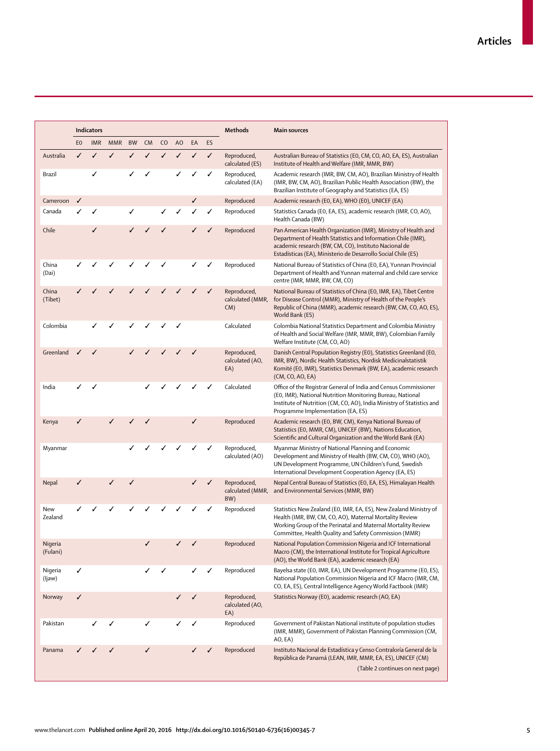|                     |                | <b>Indicators</b> |            |           |           |                |                |    |    | <b>Methods</b>                         | <b>Main sources</b>                                                                                                                                                                                                                                      |
|---------------------|----------------|-------------------|------------|-----------|-----------|----------------|----------------|----|----|----------------------------------------|----------------------------------------------------------------------------------------------------------------------------------------------------------------------------------------------------------------------------------------------------------|
|                     | E <sub>0</sub> | <b>IMR</b>        | <b>MMR</b> | <b>BW</b> | <b>CM</b> | C <sub>O</sub> | A <sub>O</sub> | EA | ES |                                        |                                                                                                                                                                                                                                                          |
| Australia           | ✓              | ✓                 | ✓          | ✓         | ✓         | ✓              | ✓              | ✓  | ✓  | Reproduced,<br>calculated (ES)         | Australian Bureau of Statistics (E0, CM, CO, AO, EA, ES), Australian<br>Institute of Health and Welfare (IMR, MMR, BW)                                                                                                                                   |
| Brazil              |                | ✓                 |            |           |           |                | ✓              | ✓  | ✓  | Reproduced,<br>calculated (EA)         | Academic research (IMR, BW, CM, AO), Brazilian Ministry of Health<br>(IMR, BW, CM, AO), Brazilian Public Health Association (BW), the<br>Brazilian Institute of Geography and Statistics (EA, ES)                                                        |
| Cameroon            | ✓              |                   |            |           |           |                |                | ✓  |    | Reproduced                             | Academic research (E0, EA), WHO (E0), UNICEF (EA)                                                                                                                                                                                                        |
| Canada              | ✓              | ✓                 |            | ✓         |           | ✓              |                |    | ✓  | Reproduced                             | Statistics Canada (E0, EA, ES), academic research (IMR, CO, AO),<br>Health Canada (BW)                                                                                                                                                                   |
| Chile               |                | ✓                 |            |           |           |                |                |    | ✓  | Reproduced                             | Pan American Health Organization (IMR), Ministry of Health and<br>Department of Health Statistics and Information Chile (IMR),<br>academic research (BW, CM, CO), Instituto Nacional de<br>Estadísticas (EA), Ministerio de Desarrollo Social Chile (ES) |
| China<br>(Dai)      |                |                   |            |           |           | ✓              |                |    | ✓  | Reproduced                             | National Bureau of Statistics of China (E0, EA), Yunnan Provincial<br>Department of Health and Yunnan maternal and child care service<br>centre (IMR, MMR, BW, CM, CO)                                                                                   |
| China<br>(Tibet)    |                |                   | ℐ          |           |           |                |                |    | ✓  | Reproduced,<br>calculated (MMR,<br>CM) | National Bureau of Statistics of China (E0, IMR, EA), Tibet Centre<br>for Disease Control (MMR), Ministry of Health of the People's<br>Republic of China (MMR), academic research (BW, CM, CO, AO, ES),<br>World Bank (ES)                               |
| Colombia            |                | ✓                 |            |           |           |                | ✓              |    |    | Calculated                             | Colombia National Statistics Department and Colombia Ministry<br>of Health and Social Welfare (IMR, MMR, BW), Colombian Family<br>Welfare Institute (CM, CO, AO)                                                                                         |
| Greenland           |                |                   |            |           |           |                |                |    |    | Reproduced,<br>calculated (AO,<br>EA)  | Danish Central Population Registry (E0), Statistics Greenland (E0,<br>IMR, BW), Nordic Health Statistics, Nordisk Medicinalstatistik<br>Komité (E0, IMR), Statistics Denmark (BW, EA), academic research<br>(CM, CO, AO, EA)                             |
| India               | ✓              | ✓                 |            |           | ✓         |                |                |    |    | Calculated                             | Office of the Registrar General of India and Census Commissioner<br>(E0, IMR), National Nutrition Monitoring Bureau, National<br>Institute of Nutrition (CM, CO, AO), India Ministry of Statistics and<br>Programme Implementation (EA, ES)              |
| Kenya               | ✓              |                   | ✓          |           | ✓         |                |                | ✓  |    | Reproduced                             | Academic research (E0, BW, CM), Kenya National Bureau of<br>Statistics (EO, MMR, CM), UNICEF (BW), Nations Education,<br>Scientific and Cultural Organization and the World Bank (EA)                                                                    |
| Myanmar             |                |                   |            |           |           |                |                |    | ✓  | Reproduced,<br>calculated (AO)         | Myanmar Ministry of National Planning and Economic<br>Development and Ministry of Health (BW, CM, CO), WHO (AO),<br>UN Development Programme, UN Children's Fund, Swedish<br>International Development Cooperation Agency (EA, ES)                       |
| Nepal               | ✓              |                   | ✓          | ✓         |           |                |                |    | ✓  | Reproduced,<br>calculated (MMR,<br>BW) | Nepal Central Bureau of Statistics (E0, EA, ES), Himalayan Health<br>and Environmental Services (MMR, BW)                                                                                                                                                |
| New<br>Zealand      |                |                   |            |           |           |                |                |    |    | Reproduced                             | Statistics New Zealand (EO, IMR, EA, ES), New Zealand Ministry of<br>Health (IMR, BW, CM, CO, AO), Maternal Mortality Review<br>Working Group of the Perinatal and Maternal Mortality Review<br>Committee, Health Quality and Safety Commission (MMR)    |
| Nigeria<br>(Fulani) |                |                   |            |           |           |                |                | √  |    | Reproduced                             | National Population Commission Nigeria and ICF International<br>Macro (CM), the International Institute for Tropical Agriculture<br>(AO), the World Bank (EA), academic research (EA)                                                                    |
| Nigeria<br>(ljaw)   | ✓              |                   |            |           | ✓         | ✓              |                | ✓  | ✓  | Reproduced                             | Bayelsa state (E0, IMR, EA), UN Development Programme (E0, ES),<br>National Population Commission Nigeria and ICF Macro (IMR, CM,<br>CO, EA, ES), Central Intelligence Agency World Factbook (IMR)                                                       |
| Norway              | ✓              |                   |            |           |           |                | ✓              | ✓  |    | Reproduced,<br>calculated (AO,<br>EA)  | Statistics Norway (E0), academic research (AO, EA)                                                                                                                                                                                                       |
| Pakistan            |                | ✓                 | ✓          |           | ✓         |                | ✓              | ✓  |    | Reproduced                             | Government of Pakistan National institute of population studies<br>(IMR, MMR), Government of Pakistan Planning Commission (CM,<br>AO, EA)                                                                                                                |
| Panama              |                |                   | ✓          |           | ✓         |                |                |    |    | Reproduced                             | Instituto Nacional de Estadística y Censo Contraloría General de la<br>República de Panamá (LEAN, IMR, MMR, EA, ES), UNICEF (CM)<br>(Table 2 continues on next page)                                                                                     |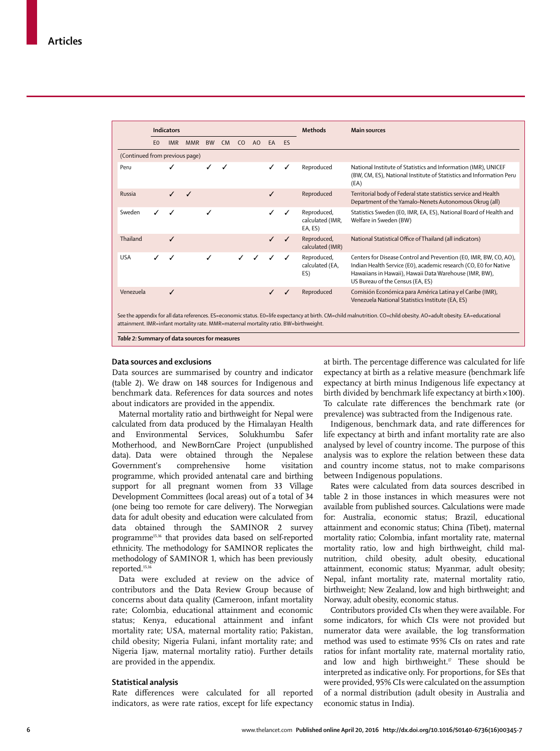|                                               |                                                                                                                                                                                                                                                              | <b>Indicators</b> |            |           |                |    |    |           |           | <b>Methods</b>                             | <b>Main sources</b>                                                                                                                                                                                                                 |
|-----------------------------------------------|--------------------------------------------------------------------------------------------------------------------------------------------------------------------------------------------------------------------------------------------------------------|-------------------|------------|-----------|----------------|----|----|-----------|-----------|--------------------------------------------|-------------------------------------------------------------------------------------------------------------------------------------------------------------------------------------------------------------------------------------|
|                                               | E <sub>0</sub>                                                                                                                                                                                                                                               | <b>IMR</b>        | <b>MMR</b> | <b>BW</b> | C <sub>M</sub> | CO | AO | <b>EA</b> | <b>FS</b> |                                            |                                                                                                                                                                                                                                     |
| (Continued from previous page)                |                                                                                                                                                                                                                                                              |                   |            |           |                |    |    |           |           |                                            |                                                                                                                                                                                                                                     |
| Peru                                          |                                                                                                                                                                                                                                                              | ✓                 |            |           | ✓              |    |    |           | J         | Reproduced                                 | National Institute of Statistics and Information (IMR), UNICEF<br>(BW, CM, ES), National Institute of Statistics and Information Peru<br>(EA)                                                                                       |
| Russia                                        |                                                                                                                                                                                                                                                              |                   | ✓          |           |                |    |    | ℐ         |           | Reproduced                                 | Territorial body of Federal state statistics service and Health<br>Department of the Yamalo-Nenets Autonomous Okrug (all)                                                                                                           |
| Sweden                                        |                                                                                                                                                                                                                                                              |                   |            |           |                |    |    |           |           | Reproduced,<br>calculated (IMR,<br>EA, ES) | Statistics Sweden (EO, IMR, EA, ES), National Board of Health and<br>Welfare in Sweden (BW)                                                                                                                                         |
| Thailand                                      |                                                                                                                                                                                                                                                              | ✓                 |            |           |                |    |    |           | ✓         | Reproduced,<br>calculated (IMR)            | National Statistical Office of Thailand (all indicators)                                                                                                                                                                            |
| <b>USA</b>                                    | ℐ                                                                                                                                                                                                                                                            | ℐ                 |            | ✓         |                |    |    | ℐ         | ✓         | Reproduced,<br>calculated (EA,<br>ES)      | Centers for Disease Control and Prevention (EO, IMR, BW, CO, AO),<br>Indian Health Service (E0), academic research (CO, E0 for Native<br>Hawaiians in Hawaii), Hawaii Data Warehouse (IMR, BW),<br>US Bureau of the Census (EA, ES) |
| Venezuela                                     |                                                                                                                                                                                                                                                              | ✓                 |            |           |                |    |    |           | ✓         | Reproduced                                 | Comisión Económica para América Latina y el Caribe (IMR),<br>Venezuela National Statistics Institute (EA, ES)                                                                                                                       |
| Table 2: Summary of data sources for measures | See the appendix for all data references. ES=economic status. E0=life expectancy at birth. CM=child malnutrition. CO=child obesity. AO=adult obesity. EA=educational<br>attainment. IMR=infant mortality rate. MMR=maternal mortality ratio. BW=birthweight. |                   |            |           |                |    |    |           |           |                                            |                                                                                                                                                                                                                                     |

## **Data sources and exclusions**

Data sources are summarised by country and indicator (table 2). We draw on 148 sources for Indigenous and benchmark data. References for data sources and notes about indicators are provided in the appendix.

Maternal mortality ratio and birthweight for Nepal were calculated from data produced by the Himalayan Health and Environmental Services, Solukhumbu Safer Motherhood, and NewBornCare Project (unpublished data). Data were obtained through the Nepalese Government's comprehensive home visitation programme, which provided antenatal care and birthing support for all pregnant women from 33 Village Development Committees (local areas) out of a total of 34 (one being too remote for care delivery). The Norwegian data for adult obesity and education were calculated from data obtained through the SAMINOR 2 survey programme15,16 that provides data based on self-reported ethnicity. The methodology for SAMINOR replicates the methodology of SAMINOR 1, which has been previously reported.15,16

Data were excluded at review on the advice of contributors and the Data Review Group because of concerns about data quality (Cameroon, infant mortality rate; Colombia, educational attainment and economic status; Kenya, educational attainment and infant mortality rate; USA, maternal mortality ratio; Pakistan, child obesity; Nigeria Fulani, infant mortality rate; and Nigeria Ijaw, maternal mortality ratio). Further details are provided in the appendix.

# **Statistical analysis**

Rate differences were calculated for all reported indicators, as were rate ratios, except for life expectancy at birth. The percentage difference was calculated for life expectancy at birth as a relative measure (benchmark life expectancy at birth minus Indigenous life expectancy at birth divided by benchmark life expectancy at birth $\times$ 100). To calculate rate differences the benchmark rate (or prevalence) was subtracted from the Indigenous rate.

Indigenous, benchmark data, and rate differences for life expectancy at birth and infant mortality rate are also analysed by level of country income. The purpose of this analysis was to explore the relation between these data and country income status, not to make comparisons between Indigenous populations.

Rates were calculated from data sources described in table 2 in those instances in which measures were not available from published sources. Calculations were made for: Australia, economic status; Brazil, educational attainment and economic status; China (Tibet), maternal mortality ratio; Colombia, infant mortality rate, maternal mortality ratio, low and high birthweight, child malnutrition, child obesity, adult obesity, educational attainment, economic status; Myanmar, adult obesity; Nepal, infant mortality rate, maternal mortality ratio, birthweight; New Zealand, low and high birthweight; and Norway, adult obesity, economic status.

Contributors provided CIs when they were available. For some indicators, for which CIs were not provided but numerator data were available, the log transformation method was used to estimate 95% CIs on rates and rate ratios for infant mortality rate, maternal mortality ratio, and low and high birthweight. $\sqrt{r}$  These should be interpreted as indicative only. For proportions, for SEs that were provided, 95% CIs were calculated on the assumption of a normal distribution (adult obesity in Australia and economic status in India).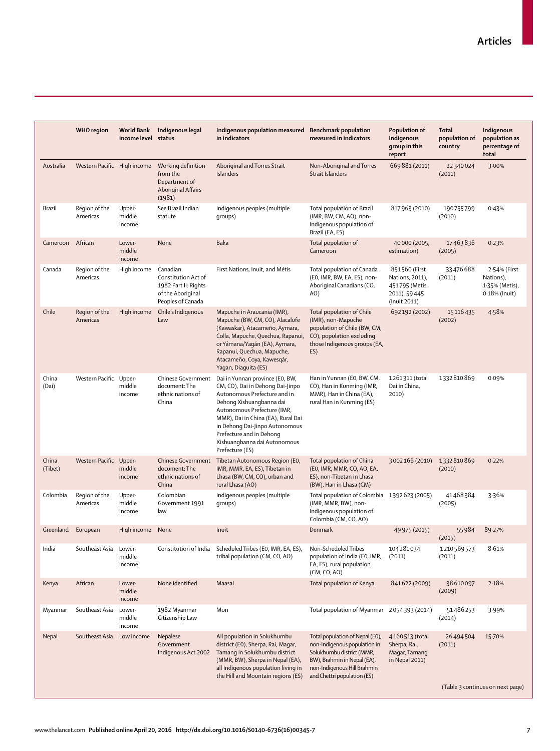|                  | <b>WHO</b> region         | World Bank<br>income level status | Indigenous legal                                                                                            | Indigenous population measured Benchmark population<br>in indicators                                                                                                                                                                                                                                                                     | measured in indicators                                                                                                                                                                    | Population of<br>Indigenous<br>group in this<br>report                             | <b>Total</b><br>population of<br>country | Indigenous<br>population as<br>percentage of<br>total        |
|------------------|---------------------------|-----------------------------------|-------------------------------------------------------------------------------------------------------------|------------------------------------------------------------------------------------------------------------------------------------------------------------------------------------------------------------------------------------------------------------------------------------------------------------------------------------------|-------------------------------------------------------------------------------------------------------------------------------------------------------------------------------------------|------------------------------------------------------------------------------------|------------------------------------------|--------------------------------------------------------------|
| Australia        |                           |                                   | Western Pacific High income Working definition<br>from the<br>Department of<br>Aboriginal Affairs<br>(1981) | Aboriginal and Torres Strait<br><b>Islanders</b>                                                                                                                                                                                                                                                                                         | Non-Aboriginal and Torres<br><b>Strait Islanders</b>                                                                                                                                      | 669881 (2011)                                                                      | 22340024<br>(2011)                       | 3.00%                                                        |
| Brazil           | Region of the<br>Americas | Upper-<br>middle<br>income        | See Brazil Indian<br>statute                                                                                | Indigenous peoples (multiple<br>groups)                                                                                                                                                                                                                                                                                                  | Total population of Brazil<br>(IMR, BW, CM, AO), non-<br>Indigenous population of<br>Brazil (EA, ES)                                                                                      | 817963 (2010)                                                                      | 190755799<br>(2010)                      | 0.43%                                                        |
| Cameroon         | African                   | Lower-<br>middle<br>income        | None                                                                                                        | Baka                                                                                                                                                                                                                                                                                                                                     | Total population of<br>Cameroon                                                                                                                                                           | 40 000 (2005,<br>estimation)                                                       | 17463836<br>(2005)                       | 0.23%                                                        |
| Canada           | Region of the<br>Americas | High income                       | Canadian<br>Constitution Act of<br>1982 Part II: Rights<br>of the Aboriginal<br>Peoples of Canada           | First Nations, Inuit, and Métis                                                                                                                                                                                                                                                                                                          | Total population of Canada<br>(E0, IMR, BW, EA, ES), non-<br>Aboriginal Canadians (CO,<br>AO)                                                                                             | 851560 (First<br>Nations, 2011),<br>451795 (Metis<br>2011), 59 445<br>(Inuit 2011) | 33476688<br>(2011)                       | 2.54% (First<br>Nations),<br>1.35% (Metis),<br>0.18% (Inuit) |
| Chile            | Region of the<br>Americas | High income                       | Chile's Indigenous<br>Law                                                                                   | Mapuche in Araucania (IMR),<br>Mapuche (BW, CM, CO), Alacalufe<br>(Kawaskar), Atacameño, Aymara,<br>Colla, Mapuche, Quechua, Rapanui,<br>or Yámana/Yaqán (EA), Aymara,<br>Rapanui, Quechua, Mapuche,<br>Atacameño, Coya, Kawesgár,<br>Yagan, Diaguita (ES)                                                                               | Total population of Chile<br>(IMR), non-Mapuche<br>population of Chile (BW, CM,<br>CO), population excluding<br>those Indigenous groups (EA,<br>ES)                                       | 692192 (2002)                                                                      | 15 1 16 4 35<br>(2002)                   | 4.58%                                                        |
| China<br>(Dai)   | Western Pacific Upper-    | middle<br>income                  | document: The<br>ethnic nations of<br>China                                                                 | Chinese Government Dai in Yunnan province (E0, BW,<br>CM, CO), Dai in Dehong Dai-Jinpo<br>Autonomous Prefecture and in<br>Dehong Xishuangbanna dai<br>Autonomous Prefecture (IMR,<br>MMR), Dai in China (EA), Rural Dai<br>in Dehong Dai-Jinpo Autonomous<br>Prefecture and in Dehong<br>Xishuangbanna dai Autonomous<br>Prefecture (ES) | Han in Yunnan (E0, BW, CM,<br>CO), Han in Kunming (IMR,<br>MMR), Han in China (EA),<br>rural Han in Kunming (ES)                                                                          | 1261311 (total<br>Dai in China,<br>2010)                                           | 1332810869                               | 0.09%                                                        |
| China<br>(Tibet) | Western Pacific Upper-    | middle<br>income                  | <b>Chinese Government</b><br>document: The<br>ethnic nations of<br>China                                    | Tibetan Autonomous Region (E0,<br>IMR, MMR, EA, ES), Tibetan in<br>Lhasa (BW, CM, CO), urban and<br>rural Lhasa (AO)                                                                                                                                                                                                                     | Total population of China<br>(EO, IMR, MMR, CO, AO, EA,<br>ES), non-Tibetan in Lhasa<br>(BW), Han in Lhasa (CM)                                                                           | 3002166 (2010)                                                                     | 1332810869<br>(2010)                     | 0.22%                                                        |
| Colombia         | Region of the<br>Americas | Upper-<br>middle<br>income        | Colombian<br>Government 1991<br>law                                                                         | Indigenous peoples (multiple<br>groups)                                                                                                                                                                                                                                                                                                  | Total population of Colombia 1392 623 (2005)<br>(IMR, MMR, BW), non-<br>Indigenous population of<br>Colombia (CM, CO, AO)                                                                 |                                                                                    | 41468384<br>(2005)                       | 3.36%                                                        |
| Greenland        | European                  | High income None                  |                                                                                                             | Inuit                                                                                                                                                                                                                                                                                                                                    | Denmark                                                                                                                                                                                   | 49 975 (2015)                                                                      | 55984<br>(2015)                          | 89.27%                                                       |
| India            | Southeast Asia            | Lower-<br>middle<br>income        | Constitution of India                                                                                       | Scheduled Tribes (EO, IMR, EA, ES),<br>tribal population (CM, CO, AO)                                                                                                                                                                                                                                                                    | Non-Scheduled Tribes<br>population of India (E0, IMR,<br>EA, ES), rural population<br>(CM, CO, AO)                                                                                        | 104281034<br>(2011)                                                                | 1210569573<br>(2011)                     | 8.61%                                                        |
| Kenya            | African                   | Lower-<br>middle<br>income        | None identified                                                                                             | Maasai                                                                                                                                                                                                                                                                                                                                   | Total population of Kenya                                                                                                                                                                 | 841622 (2009)                                                                      | 38610097<br>(2009)                       | 2.18%                                                        |
| Myanmar          | Southeast Asia            | Lower-<br>middle<br>income        | 1982 Myanmar<br>Citizenship Law                                                                             | Mon                                                                                                                                                                                                                                                                                                                                      | Total population of Myanmar 2054393 (2014)                                                                                                                                                |                                                                                    | 51486253<br>(2014)                       | 3.99%                                                        |
| Nepal            | Southeast Asia            | Low income                        | Nepalese<br>Government<br>Indigenous Act 2002                                                               | All population in Solukhumbu<br>district (E0), Sherpa, Rai, Magar,<br>Tamang in Solukhumbu district<br>(MMR, BW), Sherpa in Nepal (EA),<br>all Indigenous population living in<br>the Hill and Mountain regions (ES)                                                                                                                     | Total population of Nepal (E0),<br>non-Indigenous population in<br>Solukhumbu district (MMR,<br>BW), Brahmin in Nepal (EA),<br>non-Indigenous Hill Brahmin<br>and Chettri population (ES) | 4160 513 (total<br>Sherpa, Rai,<br>Magar, Tamang<br>in Nepal 2011)                 | 26494504<br>(2011)                       | 15.70%                                                       |
|                  |                           |                                   |                                                                                                             |                                                                                                                                                                                                                                                                                                                                          |                                                                                                                                                                                           |                                                                                    |                                          | (Table 3 continues on next page)                             |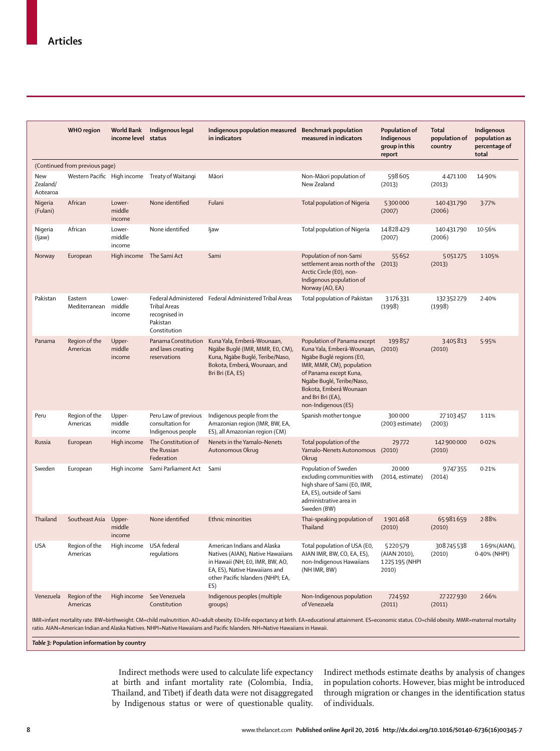|                             | <b>WHO</b> region              | World Bank<br>income level | Indigenous legal<br>status                                    | Indigenous population measured Benchmark population<br>in indicators                                                                                                                                                                                                                                                                    | measured in indicators                                                                                                                                                                                                                                 | Population of<br>Indigenous<br>group in this<br>report | <b>Total</b><br>population of<br>country | Indigenous<br>population as<br>percentage of<br>total |
|-----------------------------|--------------------------------|----------------------------|---------------------------------------------------------------|-----------------------------------------------------------------------------------------------------------------------------------------------------------------------------------------------------------------------------------------------------------------------------------------------------------------------------------------|--------------------------------------------------------------------------------------------------------------------------------------------------------------------------------------------------------------------------------------------------------|--------------------------------------------------------|------------------------------------------|-------------------------------------------------------|
|                             | (Continued from previous page) |                            |                                                               |                                                                                                                                                                                                                                                                                                                                         |                                                                                                                                                                                                                                                        |                                                        |                                          |                                                       |
| New<br>Zealand/<br>Aotearoa |                                |                            | Western Pacific High income Treaty of Waitangi                | Māori                                                                                                                                                                                                                                                                                                                                   | Non-Māori population of<br>New Zealand                                                                                                                                                                                                                 | 598605<br>(2013)                                       | 4471100<br>(2013)                        | 14.90%                                                |
| Nigeria<br>(Fulani)         | African                        | Lower-<br>middle<br>income | None identified                                               | Fulani                                                                                                                                                                                                                                                                                                                                  | Total population of Nigeria                                                                                                                                                                                                                            | 5300000<br>(2007)                                      | 140431790<br>(2006)                      | 3.77%                                                 |
| Nigeria<br>(Ijaw)           | African                        | Lower-<br>middle<br>income | None identified                                               | ljaw                                                                                                                                                                                                                                                                                                                                    | Total population of Nigeria                                                                                                                                                                                                                            | 14828429<br>(2007)                                     | 140431790<br>(2006)                      | 10.56%                                                |
| Norway                      | European                       |                            | High income The Sami Act                                      | Sami                                                                                                                                                                                                                                                                                                                                    | Population of non-Sami<br>settlement areas north of the (2013)<br>Arctic Circle (E0), non-<br>Indigenous population of<br>Norway (AO, EA)                                                                                                              | 55652                                                  | 5051275<br>(2013)                        | 1.105%                                                |
| Pakistan                    | Eastern<br>Mediterranean       | Lower-<br>middle<br>income | Tribal Areas<br>recognised in<br>Pakistan<br>Constitution     | Federal Administered Federal Administered Tribal Areas                                                                                                                                                                                                                                                                                  | Total population of Pakistan                                                                                                                                                                                                                           | 3176331<br>(1998)                                      | 132352279<br>(1998)                      | 2.40%                                                 |
| Panama                      | Region of the<br>Americas      | Upper-<br>middle<br>income | Panama Constitution<br>and laws creating<br>reservations      | Kuna Yala, Emberá-Wounaan,<br>Ngäbe Buglé (IMR, MMR, E0, CM),<br>Kuna, Ngäbe Buglé, Teribe/Naso,<br>Bokota, Emberá, Wounaan, and<br>Bri Bri (EA, ES)                                                                                                                                                                                    | Population of Panama except<br>Kuna Yala, Emberá-Wounaan, (2010)<br>Ngäbe Buglé regions (E0,<br>IMR, MMR, CM), population<br>of Panama except Kuna,<br>Ngäbe Buglé, Teribe/Naso,<br>Bokota, Emberá Wounaan<br>and Bri Bri (EA),<br>non-Indigenous (ES) | 199857                                                 | 3405813<br>(2010)                        | 5.95%                                                 |
| Peru                        | Region of the<br>Americas      | Upper-<br>middle<br>income | Peru Law of previous<br>consultation for<br>Indigenous people | Indigenous people from the<br>Amazonian region (IMR, BW, EA,<br>ES), all Amazonian region (CM)                                                                                                                                                                                                                                          | Spanish mother tonque                                                                                                                                                                                                                                  | 300000<br>(2003 estimate)                              | 27103457<br>(2003)                       | 1.11%                                                 |
| Russia                      | European                       | High income                | The Constitution of<br>the Russian<br>Federation              | Nenets in the Yamalo-Nenets<br>Autonomous Okrug                                                                                                                                                                                                                                                                                         | Total population of the<br>Yamalo-Nenets Autonomous (2010)<br>Okrug                                                                                                                                                                                    | 29772                                                  | 142 900 000<br>(2010)                    | 0.02%                                                 |
| Sweden                      | European                       |                            | High income Sami Parliament Act Sami                          |                                                                                                                                                                                                                                                                                                                                         | Population of Sweden<br>excluding communities with<br>high share of Sami (E0, IMR,<br>EA, ES), outside of Sami<br>administrative area in<br>Sweden (BW)                                                                                                | 20000<br>(2014, estimate)                              | 9747355<br>(2014)                        | 0.21%                                                 |
| Thailand                    | Southeast Asia                 | Upper-<br>middle<br>income | None identified                                               | <b>Ethnic minorities</b>                                                                                                                                                                                                                                                                                                                | Thai-speaking population of<br>Thailand                                                                                                                                                                                                                | 1901468<br>(2010)                                      | 65981659<br>(2010)                       | 2.88%                                                 |
| USA                         | Region of the<br>Americas      | High income USA federal    | regulations                                                   | American Indians and Alaska<br>Natives (AIAN), Native Hawaiians<br>in Hawaii (NH; E0, IMR, BW, AO,<br>EA, ES), Native Hawaiians and<br>other Pacific Islanders (NHPI; EA,<br>ES)                                                                                                                                                        | Total population of USA (E0,<br>AIAN IMR, BW, CO, EA, ES),<br>non-Indigenous Hawaiians<br>(NH IMR, BW)                                                                                                                                                 | 5220579<br>(AIAN 2010),<br>1225195 (NHPI<br>2010)      | 308745538<br>(2010)                      | 1.69%(AIAN),<br>0.40% (NHPI)                          |
| Venezuela                   | Region of the<br>Americas      |                            | High income See Venezuela<br>Constitution                     | Indigenous peoples (multiple<br>groups)                                                                                                                                                                                                                                                                                                 | Non-Indigenous population<br>of Venezuela                                                                                                                                                                                                              | 724592<br>(2011)                                       | 27227930<br>(2011)                       | 2.66%                                                 |
|                             |                                |                            |                                                               | IMR=infant mortality rate. BW=birthweight. CM=child malnutrition. AO=adult obesity. E0=life expectancy at birth. EA=educational attainment. ES=economic status. CO=child obesity. MMR=maternal mortality<br>ratio. AIAN=American Indian and Alaska Natives. NHPI=Native Hawaiians and Pacific Islanders. NH=Native Hawaiians in Hawaii. |                                                                                                                                                                                                                                                        |                                                        |                                          |                                                       |

*Table 3:* **Population information by country**

Indirect methods were used to calculate life expectancy at birth and infant mortality rate (Colombia, India, Thailand, and Tibet) if death data were not disaggregated by Indigenous status or were of questionable quality. Indirect methods estimate deaths by analysis of changes in population cohorts. However, bias might be introduced through migration or changes in the identification status of individuals.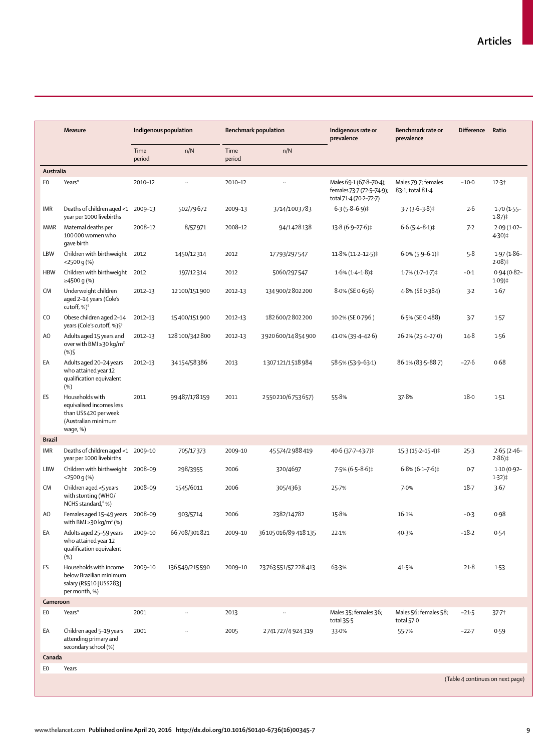|                | <b>Measure</b>                                                                                          | Indigenous population |                 |                | <b>Benchmark population</b> | Indigenous rate or<br>prevalence                                               | Benchmark rate or<br>prevalence         | <b>Difference</b>                | Ratio                      |
|----------------|---------------------------------------------------------------------------------------------------------|-----------------------|-----------------|----------------|-----------------------------|--------------------------------------------------------------------------------|-----------------------------------------|----------------------------------|----------------------------|
|                |                                                                                                         | Time<br>period        | n/N             | Time<br>period | n/N                         |                                                                                |                                         |                                  |                            |
| Australia      |                                                                                                         |                       |                 |                |                             |                                                                                |                                         |                                  |                            |
| E <sub>0</sub> | Years*                                                                                                  | 2010-12               |                 | 2010-12        |                             | Males 69-1 (67-8-70-4);<br>females 73-7 (72-5-74-9);<br>total 71-4 (70-2-72-7) | Males 79.7; females<br>83-1; total 81-4 | $-10.0$                          | 12.3 <sup>†</sup>          |
| IMR            | Deaths of children aged <1 2009-13<br>year per 1000 livebirths                                          |                       | 502/79672       | 2009-13        | 3714/1003783                | $6.3(5.8-6.9)$ #                                                               | $3.7(3.6-3.8)$ ‡                        | 2.6                              | $1.70(1.55 -$<br>$1.87$ )‡ |
| <b>MMR</b>     | Maternal deaths per<br>100 000 women who<br>gave birth                                                  | 2008-12               | 8/57971         | 2008-12        | 94/1428138                  | 13.8 (6.9-27.6)‡                                                               | $6.6(5.4 - 8.1)$ ‡                      | 7.2                              | $2.09(1.02 -$<br>4.30)‡    |
| <b>LBW</b>     | Children with birthweight<br>$<$ 2500 q $(\%)$                                                          | 2012                  | 1450/12314      | 2012           | 17793/297547                | $11.8\% (11.2 - 12.5)$                                                         | $6.0\%$ (5.9-6.1)‡                      | 5.8                              | $1.97(1.86 -$<br>$2.08$ )‡ |
| <b>HBW</b>     | Children with birthweight 2012<br>≥4500 g (%)                                                           |                       | 197/12314       | 2012           | 5060/297547                 | $1.6\%$ (1.4–1.8)‡                                                             | 1.7% (1.7–1.7)‡                         | $-0.1$                           | $0.94(0.82 -$<br>$1.09$ )‡ |
| CM             | Underweight children<br>aged 2-14 years (Cole's<br>cutoff, $\%$ ) <sup>9</sup>                          | 2012-13               | 12100/151900    | 2012-13        | 134900/2802200              | 8.0% (SE 0.656)                                                                | 4.8% (SE 0.384)                         | 3.2                              | 1.67                       |
| CO             | Obese children aged 2-14<br>years (Cole's cutoff, %) § <sup>9</sup>                                     | 2012-13               | 15400/151900    | 2012-13        | 182600/2802200              | 10.2% (SE 0.796)                                                               | 6.5% (SE 0.488)                         | $3-7$                            | 1.57                       |
| A <sub>O</sub> | Adults aged 15 years and<br>over with BMI $\geq$ 30 kg/m <sup>2</sup><br>$(\%)\$                        | 2012-13               | 128100/342800   | 2012-13        | 3920600/14854900            | 41.0% (39.4–42.6)                                                              | 26.2% (25.4-27.0)                       | $14-8$                           | 1.56                       |
| EA             | Adults aged 20-24 years<br>who attained year 12<br>qualification equivalent<br>(%)                      | 2012-13               | 34154/58386     | 2013           | 1307121/1518984             | 58.5% (53.9-63.1)                                                              | 86.1% (83.5-88.7)                       | $-27.6$                          | 0.68                       |
| <b>ES</b>      | Households with<br>equivalised incomes less<br>than US\$420 per week<br>(Australian minimum<br>wage, %) | 2011                  | 99487/178159    | 2011           | 2550210/6753657)            | 55.8%                                                                          | 37.8%                                   | 18.0                             | 1.51                       |
| <b>Brazil</b>  |                                                                                                         |                       |                 |                |                             |                                                                                |                                         |                                  |                            |
| <b>IMR</b>     | Deaths of children aged <1 2009-10<br>year per 1000 livebirths                                          |                       | 705/17373       | 2009-10        | 45574/2988419               | 40.6 (37.7-43.7)‡                                                              | 15-3 (15-2-15-4)‡                       | $25-3$                           | $2.65(2.46 -$<br>$2.86$ )‡ |
| LBW            | Children with birthweight 2008-09<br>$<$ 2500 q $(\%)$                                                  |                       | 298/3955        | 2006           | 320/4697                    | $7.5\%$ (6.5-8.6)‡                                                             | $6.8\% (6.1–7.6)$ ‡                     | 0.7                              | $1.10(0.92 -$<br>$1.32$ )‡ |
| <b>CM</b>      | Children aged <5 years<br>with stunting (WHO/<br>NCHS standard, <sup>8</sup> %)                         | 2008-09               | 1545/6011       | 2006           | 305/4363                    | 25.7%                                                                          | 7.0%                                    | $18-7$                           | 3.67                       |
| A <sub>O</sub> | Females aged 15-49 years<br>with BMI $\geq$ 30 kg/m <sup>2</sup> (%)                                    | 2008-09               | 903/5714        | 2006           | 2382/14782                  | 15.8%                                                                          | 16.1%                                   | $-0.3$                           | 0.98                       |
| EA             | Adults aged 25-59 years<br>who attained year 12<br>qualification equivalent<br>(%)                      | 2009-10               | 66708/301821    | 2009-10        | 36105016/89418135           | 22.1%                                                                          | 40.3%                                   | $-18.2$                          | 0.54                       |
| ES             | Households with income<br>below Brazilian minimum<br>salary (R\$510 [US\$283]<br>per month, %)          | 2009-10               | 136 549/215 590 | 2009-10        | 23763551/57228413           | 63.3%                                                                          | 41.5%                                   | $21-8$                           | 1.53                       |
| Cameroon       |                                                                                                         |                       |                 |                |                             |                                                                                |                                         |                                  |                            |
| EO             | Years*                                                                                                  | 2001                  |                 | 2013           | $\ddot{\phantom{a}}$        | Males 35; females 36;<br>total $35.5$                                          | Males 56; females 58;<br>total 57.0     | $-21.5$                          | $37.7+$                    |
| EA             | Children aged 5-19 years<br>attending primary and<br>secondary school (%)                               | 2001                  |                 | 2005           | 2741727/4924319             | 33.0%                                                                          | 55.7%                                   | $-22.7$                          | 0.59                       |
| Canada         |                                                                                                         |                       |                 |                |                             |                                                                                |                                         |                                  |                            |
| EO             | Years                                                                                                   |                       |                 |                |                             |                                                                                |                                         |                                  |                            |
|                |                                                                                                         |                       |                 |                |                             |                                                                                |                                         | (Table 4 continues on next page) |                            |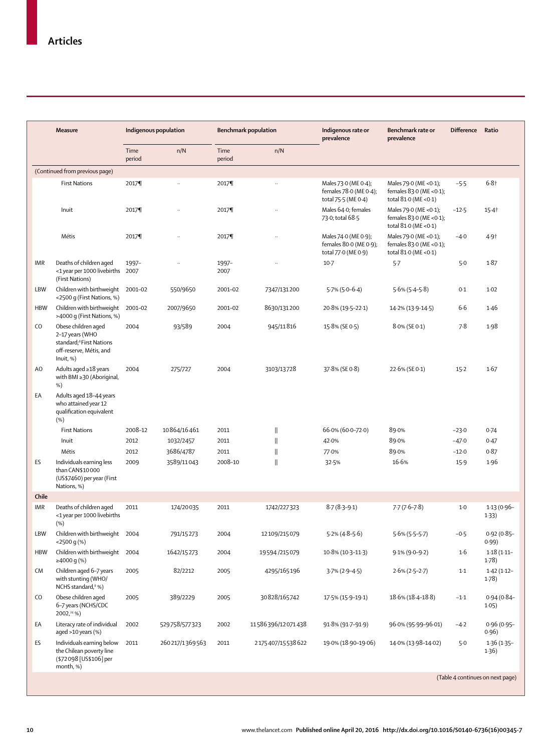|                | <b>Measure</b>                                                                                                         |                | Indigenous population |                | <b>Benchmark population</b> | Indigenous rate or<br>prevalence                                      | Benchmark rate or<br>prevalence                                              | <b>Difference</b>                | Ratio                  |
|----------------|------------------------------------------------------------------------------------------------------------------------|----------------|-----------------------|----------------|-----------------------------|-----------------------------------------------------------------------|------------------------------------------------------------------------------|----------------------------------|------------------------|
|                |                                                                                                                        | Time<br>period | n/N                   | Time<br>period | n/N                         |                                                                       |                                                                              |                                  |                        |
|                | (Continued from previous page)                                                                                         |                |                       |                |                             |                                                                       |                                                                              |                                  |                        |
|                | <b>First Nations</b>                                                                                                   | 2017¶          |                       | 2017¶          |                             | Males 73.0 (ME 0.4);<br>females 78.0 (ME 0.4);<br>total 75.5 (ME 0.4) | Males 79.0 (ME < 0.1);<br>females 83.0 (ME < 0.1);<br>total 81.0 (ME < 0.1)  | $-5.5$                           | $6.8 +$                |
|                | Inuit                                                                                                                  | 2017¶          | $\ddot{\phantom{a}}$  | 2017¶          | $\ddot{\phantom{a}}$        | Males 64-0; females<br>73.0; total 68.5                               | Males 79.0 (ME < 0.1);<br>females $83.0$ (ME <0.1);<br>total 81.0 (ME < 0.1) | $-12.5$                          | $15 - 4$               |
|                | Métis                                                                                                                  | 2017¶          | $\ddot{\phantom{a}}$  | 2017¶          | $\ddotsc$                   | Males 74.0 (ME 0.9);<br>females 80.0 (ME 0.9);<br>total 77.0 (ME 0.9) | Males 79.0 (ME < 0.1);<br>females 83.0 (ME <0.1);<br>total 81.0 (ME < 0.1)   | $-4.0$                           | 4.9 <sup>†</sup>       |
| <b>IMR</b>     | Deaths of children aged<br><1 year per 1000 livebirths 2007<br>(First Nations)                                         | 1997-          |                       | 1997-<br>2007  |                             | $10-7$                                                                | 5.7                                                                          | $5-0$                            | 1.87                   |
| LBW            | Children with birthweight 2001-02<br><2500 g (First Nations, %)                                                        |                | 550/9650              | 2001-02        | 7347/131200                 | $5.7\%$ (5.0-6.4)                                                     | $5.6\%$ (5.4–5.8)                                                            | 0.1                              | $1-02$                 |
| <b>HBW</b>     | Children with birthweight<br>>4000 g (First Nations, %)                                                                | 2001-02        | 2007/9650             | 2001-02        | 8630/131200                 | 20.8% (19.5-22.1)                                                     | 14.2% (13.9-14.5)                                                            | 6.6                              | 1.46                   |
| CO.            | Obese children aged<br>2-17 years (WHO<br>standard; <sup>8</sup> First Nations<br>off-reserve, Métis, and<br>Inuit, %) | 2004           | 93/589                | 2004           | 945/11816                   | 15.8% (SE 0.5)                                                        | 8.0% (SE 0.1)                                                                | 7.8                              | 1.98                   |
| A <sub>O</sub> | Adults aged ≥18 years<br>with BMI ≥30 (Aboriginal,<br>%)                                                               | 2004           | 275/727               | 2004           | 3103/13728                  | 37.8% (SE 0.8)                                                        | 22.6% (SE 0.1)                                                               | $15 - 2$                         | 1.67                   |
| EA             | Adults aged 18-44 years<br>who attained year 12<br>qualification equivalent<br>(%)                                     |                |                       |                |                             |                                                                       |                                                                              |                                  |                        |
|                | <b>First Nations</b>                                                                                                   | 2008-12        | 10864/16461           | 2011           | 11                          | $66.0\% (60.0 - 72.0)$                                                | 89.0%                                                                        | $-23.0$                          | 0.74                   |
|                | Inuit                                                                                                                  | 2012           | 1032/2457             | 2011           | 11                          | 42.0%                                                                 | 89.0%                                                                        | $-47.0$                          | 0.47                   |
|                | Métis                                                                                                                  | 2012           | 3686/4787             | 2011           | $\mathsf{I}$                | 77.0%                                                                 | 89.0%                                                                        | $-12.0$                          | 0.87                   |
| ES             | Individuals earning less<br>than CAN\$10000<br>(US\$7460) per year (First<br>Nations, %)                               | 2009           | 3589/11043            | 2008-10        | $\mathbf{  }$               | 32.5%                                                                 | 16.6%                                                                        | $15-9$                           | 1.96                   |
| Chile          |                                                                                                                        |                |                       |                |                             |                                                                       |                                                                              |                                  |                        |
| IMR            | Deaths of children aged<br><1 year per 1000 livebirths<br>(%)                                                          | 2011           | 174/20035             | 2011           | 1742/227323                 | $8.7(8.3 - 9.1)$                                                      | $7.7(7.6 - 7.8)$                                                             | $1-0$                            | $1.13(0.96 -$<br>1.33) |
|                | LBW Children with birthweight 2004<br>$<$ 2500 q $(\%)$                                                                |                | 791/15273             | 2004           | 12109/215079                | $5.2\% (4.8 - 5.6)$                                                   | $5.6\%$ (5.5-5.7)                                                            | $-0.5$                           | $0.92(0.85 -$<br>0.99) |
| <b>HBW</b>     | Children with birthweight 2004<br>≥4000 g (%)                                                                          |                | 1642/15273            | 2004           | 19594/215079                | $10.8\%$ (10.3-11.3)                                                  | $9.1\%$ (9.0-9.2)                                                            | 1·6                              | $1.18(1.11 -$<br>1.78  |
| CM             | Children aged 6-7 years<br>with stunting (WHO/<br>NCHS standard, <sup>8</sup> %)                                       | 2005           | 82/2212               | 2005           | 4295/165196                 | $3.7\%$ (2.9-4.5)                                                     | $2.6\% (2.5 - 2.7)$                                                          | $1-1$                            | $1.42(1.12 -$<br>1.78) |
| CO             | Obese children aged<br>6-7 years (NCHS/CDC<br>2002, <sup>24</sup> %)                                                   | 2005           | 389/2229              | 2005           | 30828/165742                | 17.5% (15.9-19.1)                                                     | 18.6% (18.4-18.8)                                                            | $-1.1$                           | $0.94(0.84 -$<br>1.05) |
| EA             | Literacy rate of individual<br>aged >10 years (%)                                                                      | 2002           | 529758/577323         | 2002           | 11586396/12071438           | 91.8% (91.7-91.9)                                                     | 96.0% (95.99-96.01)                                                          | $-4.2$                           | $0.96(0.95 -$<br>0.96) |
| ES             | Individuals earning below<br>the Chilean poverty line<br>(\$72098 [US\$106] per<br>month, %)                           | 2011           | 260217/1369563        | 2011           | 2175407/15538622            | 19.0% (18.90-19.06)                                                   | 14.0% (13.98-14.02)                                                          | $5-0$                            | $1.36(1.35 -$<br>1.36) |
|                |                                                                                                                        |                |                       |                |                             |                                                                       |                                                                              | (Table 4 continues on next page) |                        |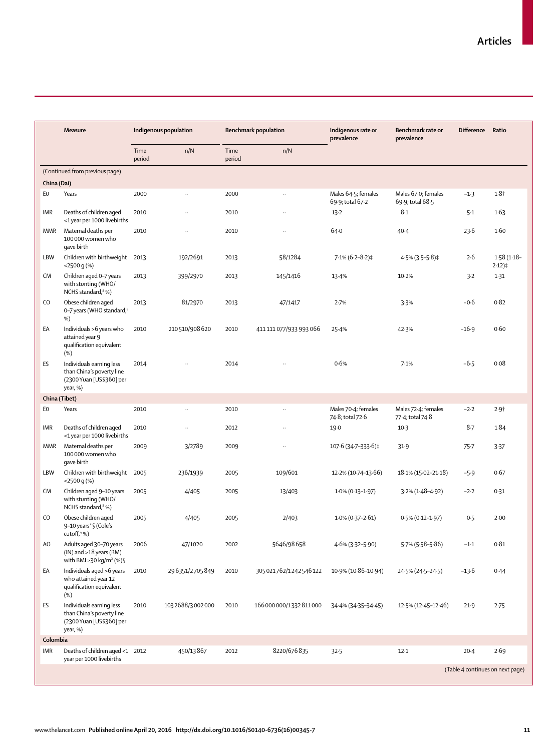| <b>Measure</b> |                                                                                                 | Indigenous population |                      | <b>Benchmark population</b> |                          | Indigenous rate or<br>prevalence        | Benchmark rate or<br>prevalence         | <b>Difference</b> | Ratio                      |
|----------------|-------------------------------------------------------------------------------------------------|-----------------------|----------------------|-----------------------------|--------------------------|-----------------------------------------|-----------------------------------------|-------------------|----------------------------|
|                |                                                                                                 | Time<br>period        | n/N                  | Time<br>period              | n/N                      |                                         |                                         |                   |                            |
|                | (Continued from previous page)                                                                  |                       |                      |                             |                          |                                         |                                         |                   |                            |
| China (Dai)    |                                                                                                 |                       |                      |                             |                          |                                         |                                         |                   |                            |
| E0             | Years                                                                                           | 2000                  | $\ldots$             | 2000                        | $\ddotsc$                | Males 64-5; females<br>69.9; total 67.2 | Males 67.0; females<br>69.9; total 68.5 | $-1.3$            | $1.8 +$                    |
| <b>IMR</b>     | Deaths of children aged<br><1 year per 1000 livebirths                                          | 2010                  | .,                   | 2010                        |                          | $13 - 2$                                | 8.1                                     | 5.1               | 1.63                       |
| <b>MMR</b>     | Maternal deaths per<br>100 000 women who<br>gave birth                                          | 2010                  | $\ddot{\phantom{a}}$ | 2010                        |                          | 64.0                                    | $40-4$                                  | 23.6              | 1.60                       |
| LBW            | Children with birthweight 2013<br><2500 g (%)                                                   |                       | 192/2691             | 2013                        | 58/1284                  | $7.1\% (6.2 - 8.2)$ ‡                   | $4.5\%$ (3.5-5.8)‡                      | 2.6               | $1.58(1.18 -$<br>$2.12$ )‡ |
| CM             | Children aged 0-7 years<br>with stunting (WHO/<br>NCHS standard, <sup>8</sup> %)                | 2013                  | 399/2970             | 2013                        | 145/1416                 | 13.4%                                   | 10.2%                                   | 3.2               | $1-31$                     |
| CO             | Obese children aged<br>0-7 years (WHO standard, <sup>8</sup><br>%)                              | 2013                  | 81/2970              | 2013                        | 47/1417                  | 2.7%                                    | 3.3%                                    | $-0.6$            | 0.82                       |
| EA             | Individuals >6 years who<br>attained year 9<br>qualification equivalent<br>(%)                  | 2010                  | 210510/908620        | 2010                        | 411 111 077/933 993 066  | 25.4%                                   | 42.3%                                   | $-16.9$           | 0.60                       |
| ES             | Individuals earning less<br>than China's poverty line<br>(2300 Yuan [US\$360] per<br>year, %)   | 2014                  |                      | 2014                        |                          | 0.6%                                    | 7.1%                                    | $-6.5$            | 0.08                       |
| China (Tibet)  |                                                                                                 |                       |                      |                             |                          |                                         |                                         |                   |                            |
| EO             | Years                                                                                           | 2010                  | $\ddot{\phantom{a}}$ | 2010                        |                          | Males 70-4; females<br>74-8; total 72-6 | Males 72-4; females<br>77-4; total 74-8 | $-2.2$            | 2.9 <sub>†</sub>           |
| <b>IMR</b>     | Deaths of children aged<br><1 year per 1000 livebirths                                          | 2010                  | $\ddotsc$            | 2012                        |                          | 19.0                                    | $10-3$                                  | $8-7$             | 1.84                       |
| <b>MMR</b>     | Maternal deaths per<br>100 000 women who<br>gave birth                                          | 2009                  | 3/2789               | 2009                        | $\ddotsc$                | 107.6 (34.7-333.6)‡                     | 31.9                                    | $75 - 7$          | 3.37                       |
| LBW            | Children with birthweight 2005<br>$<$ 2500 q $(\%)$                                             |                       | 236/1939             | 2005                        | 109/601                  | 12.2% (10.74-13.66)                     | 18.1% (15.02-21.18)                     | $-5.9$            | 0.67                       |
| <b>CM</b>      | Children aged 9-10 years<br>with stunting (WHO/<br>NCHS standard, <sup>8</sup> %)               | 2005                  | 4/405                | 2005                        | 13/403                   | $1.0\%$ (0.13-1.97)                     | $3.2\%$ (1.48-4.92)                     | $-2.2$            | 0.31                       |
| CO             | Obese children aged<br>9-10 years*§ (Cole's<br>cutoff, %)                                       | 2005                  | 4/405                | 2005                        | 2/403                    | $1.0\%$ (0.37-2.61)                     | $0.5\%$ (0.12-1.97)                     | 0.5               | 2.00                       |
| A <sub>O</sub> | Adults aged 30-70 years<br>(IN) and >18 years (BM)<br>with BMI $\geq$ 30 kg/m <sup>2</sup> (%)§ | 2006                  | 47/1020              | 2002                        | 5646/98658               | 4.6% (3.32-5.90)                        | 5.7% (5.58-5.86)                        | $-1.1$            | 0.81                       |
| EA             | Individuals aged >6 years<br>who attained year 12<br>qualification equivalent<br>(%)            | 2010                  | 296351/2705849       | 2010                        | 305 021762/1242 546 122  | 10.9% (10.86-10.94)                     | 24.5% (24.5-24.5)                       | $-13.6$           | 0.44                       |
| ES             | Individuals earning less<br>than China's poverty line<br>(2300 Yuan [US\$360] per<br>year, %)   | 2010                  | 1032688/3002000      | 2010                        | 166 000 000/1332 811 000 | 34.4% (34.35-34.45)                     | $12.5\%$ (12.45–12.46)                  | 21.9              | 2.75                       |
| Colombia       |                                                                                                 |                       |                      |                             |                          |                                         |                                         |                   |                            |
| IMR            | Deaths of children aged <1 2012<br>year per 1000 livebirths                                     |                       | 450/13867            | 2012                        | 8220/676835              | 32.5                                    | $12-1$                                  | $20-4$            | 2.69                       |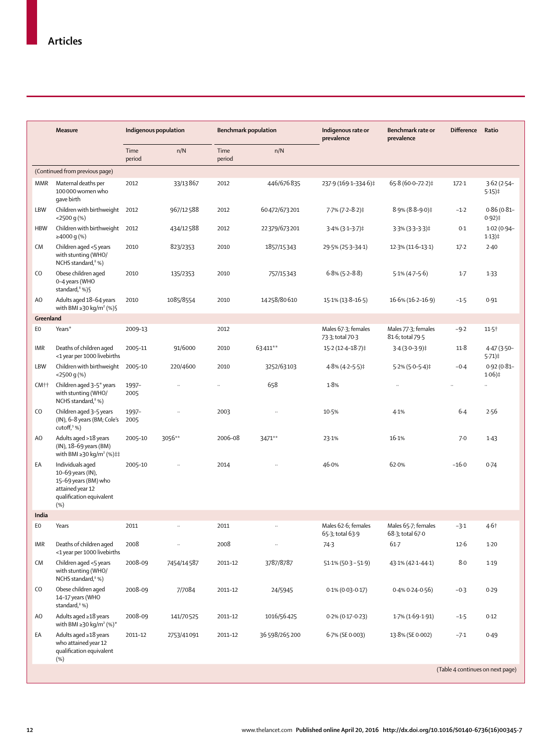|                  | <b>Measure</b>                                                                                                       |                | Indigenous population |                | <b>Benchmark population</b> | Indigenous rate or<br>prevalence        | Benchmark rate or<br>prevalence         | <b>Difference</b>                | Ratio                                                     |
|------------------|----------------------------------------------------------------------------------------------------------------------|----------------|-----------------------|----------------|-----------------------------|-----------------------------------------|-----------------------------------------|----------------------------------|-----------------------------------------------------------|
|                  |                                                                                                                      | Time<br>period | n/N                   | Time<br>period | n/N                         |                                         |                                         |                                  |                                                           |
|                  | (Continued from previous page)                                                                                       |                |                       |                |                             |                                         |                                         |                                  |                                                           |
| <b>MMR</b>       | Maternal deaths per<br>100 000 women who<br>gave birth                                                               | 2012           | 33/13867              | 2012           | 446/676835                  | 237.9 (169.1-334.6)‡                    | 65.8 (60.0-72.2)‡                       | 172.1                            | $3.62(2.54 -$<br>$5.15$ )‡                                |
| LBW              | Children with birthweight 2012<br>$<$ 2500 q(%)                                                                      |                | 967/12588             | 2012           | 60472/673201                | 7.7% (7.2-8.2)‡                         | $8.9\% (8.8 - 9.0)$ ‡                   | $-1.2$                           | $0.86(0.81 -$<br>$0.92$ )‡                                |
| <b>HBW</b>       | Children with birthweight 2012<br>≥4000 g $%$                                                                        |                | 434/12588             | 2012           | 22379/673201                | $3.4\%$ (3.1-3.7)‡                      | $3.3\%$ (3.3-3.3)‡                      | 0.1                              | $1.02(0.94 -$<br>$1.13)$ <sup><math>\ddagger</math></sup> |
| CM               | Children aged <5 years<br>with stunting (WHO/<br>NCHS standard, $8\%$ )                                              | 2010           | 823/2353              | 2010           | 1857/15343                  | 29.5% (25.3-34.1)                       | $12.3\%$ (11.6–13.1)                    | $17-2$                           | 2.40                                                      |
| CO               | Obese children aged<br>0-4 years (WHO<br>standard, $^8$ %)§                                                          | 2010           | 135/2353              | 2010           | 757/15343                   | $6.8\%$ (5.2-8.8)                       | $5.1\% (4.7-5.6)$                       | $1-7$                            | $1-33$                                                    |
| A <sub>O</sub>   | Adults aged 18-64 years<br>with BMI $\geq$ 30 kg/m <sup>2</sup> (%) §                                                | 2010           | 1085/8554             | 2010           | 14258/80610                 | 15.1% (13.8-16.5)                       | $16.6\% (16.2 - 16.9)$                  | $-1.5$                           | 0.91                                                      |
| Greenland        |                                                                                                                      |                |                       |                |                             |                                         |                                         |                                  |                                                           |
| EO               | Years*                                                                                                               | 2009-13        |                       | 2012           |                             | Males 67-3; females<br>73-3; total 70-3 | Males 77-3; females<br>81.6; total 79.5 | $-9.2$                           | $11.5$ <sup>†</sup>                                       |
| IMR              | Deaths of children aged<br><1 year per 1000 livebirths                                                               | 2005-11        | 91/6000               | 2010           | 63411**                     | 15-2 (12-4-18-7)‡                       | $3.4(3.0 - 3.9)$ ‡                      | 11.8                             | $4.47(3.50 -$<br>$5.71$ )‡                                |
| LBW              | Children with birthweight 2005-10<br>$<$ 2500 q(%)                                                                   |                | 220/4600              | 2010           | 3252/63103                  | $4.8\%$ (4.2-5.5)‡                      | $5.2\%$ (5.0-5.4)‡                      | $-0.4$                           | $0.92(0.81 -$<br>$1.06$ )‡                                |
| CM <sup>++</sup> | Children aged 3-5* years<br>with stunting (WHO/<br>NCHS standard, $8\%$ )                                            | 1997-<br>2005  |                       |                | 658                         | 1.8%                                    |                                         |                                  |                                                           |
| CO               | Children aged 3-5 years<br>(IN), 6–8 years (BM; Cole's<br>cutoff, $9%$                                               | 1997-<br>2005  | $\ddot{\phantom{a}}$  | 2003           |                             | 10.5%                                   | 4.1%                                    | 6.4                              | 2.56                                                      |
| A <sub>O</sub>   | Adults aged >18 years<br>(IN), 18-69 years (BM)<br>with BMI ≥30 kg/m <sup>2</sup> (%)‡‡                              | 2005-10        | 3056**                | 2006-08        | 3471**                      | 23.1%                                   | 16.1%                                   | 7.0                              | 1.43                                                      |
| EA               | Individuals aged<br>10-69 years (IN),<br>15-69 years (BM) who<br>attained year 12<br>qualification equivalent<br>(%) | 2005-10        |                       | 2014           |                             | 46.0%                                   | 62.0%                                   | $-16.0$                          | 0.74                                                      |
| India            |                                                                                                                      |                |                       |                |                             |                                         |                                         |                                  |                                                           |
| EO               | Years                                                                                                                | 2011           | $\ddot{\phantom{a}}$  | 2011           | $\ddotsc$                   | Males 62.6; females<br>65-3; total 63-9 | Males 65.7; females<br>68-3; total 67-0 | $-3.1$                           | 4.6 <sup>†</sup>                                          |
| IMR              | Deaths of children aged<br><1 year per 1000 livebirths                                                               | 2008           |                       | 2008           | $\ddot{\phantom{a}}$        | 74.3                                    | $61 - 7$                                | 12.6                             | $1-20$                                                    |
| CM               | Children aged <5 years<br>with stunting (WHO/<br>NCHS standard, <sup>8</sup> %)                                      | 2008-09        | 7454/14587            | 2011-12        | 3787/8787                   | $51.1\% (50.3 - 51.9)$                  | 43.1% (42.1-44.1)                       | 8.0                              | 1.19                                                      |
| CO               | Obese children aged<br>14-17 years (WHO<br>standard, <sup>8</sup> %)                                                 | 2008-09        | 7/7084                | 2011-12        | 24/5945                     | $0.1\%$ (0.03-0.17)                     | $0.4\%$ 0.24-0.56)                      | $-0.3$                           | 0.29                                                      |
| A <sub>O</sub>   | Adults aged ≥18 years<br>with BMI $\geq$ 30 kg/m <sup>2</sup> (%) <sup>*</sup>                                       | 2008-09        | 141/70525             | 2011-12        | 1016/56425                  | $0.2\%$ (0.17-0.23)                     | 1.7% (1.69-1.91)                        | $-1.5$                           | 0.12                                                      |
| EA               | Adults aged ≥18 years<br>who attained year 12<br>qualification equivalent<br>(%)                                     | 2011-12        | 2753/41091            | 2011-12        | 36 598/265 200              | 6.7% (SE 0.003)                         | 13.8% (SE 0.002)                        | $-7.1$                           | 0.49                                                      |
|                  |                                                                                                                      |                |                       |                |                             |                                         |                                         | (Table 4 continues on next page) |                                                           |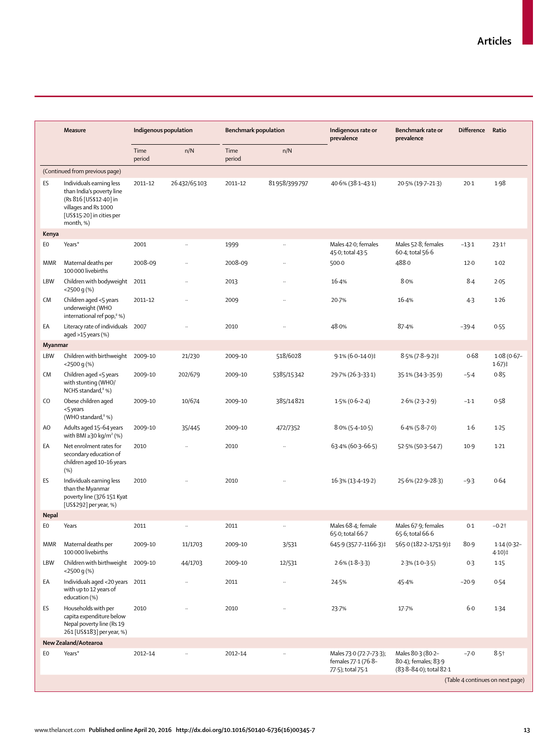|                | <b>Measure</b>                                                                                                                                    | Indigenous population |                      | <b>Benchmark population</b> |              | Indigenous rate or<br>prevalence                                    | Benchmark rate or<br>prevalence                                      | <b>Difference</b> | Ratio                            |
|----------------|---------------------------------------------------------------------------------------------------------------------------------------------------|-----------------------|----------------------|-----------------------------|--------------|---------------------------------------------------------------------|----------------------------------------------------------------------|-------------------|----------------------------------|
|                |                                                                                                                                                   | Time<br>period        | n/N                  | Time<br>period              | n/N          |                                                                     |                                                                      |                   |                                  |
|                | (Continued from previous page)                                                                                                                    |                       |                      |                             |              |                                                                     |                                                                      |                   |                                  |
| ES             | Individuals earning less<br>than India's poverty line<br>(Rs 816 [US\$12-40] in<br>villages and Rs 1000<br>[US\$15-20] in cities per<br>month, %) | 2011-12               | 26432/65103          | 2011-12                     | 81958/399797 | 40.6% (38.1-43.1)                                                   | 20.5% (19.7-21.3)                                                    | $20-1$            | 1.98                             |
| Kenya          |                                                                                                                                                   |                       |                      |                             |              |                                                                     |                                                                      |                   |                                  |
| EO             | Years*                                                                                                                                            | 2001                  | $\ddotsc$            | 1999                        | $\ddotsc$    | Males 42-0; females<br>45.0; total 43.5                             | Males 52-8; females<br>60-4; total 56-6                              | $-13.1$           | 23.1                             |
| <b>MMR</b>     | Maternal deaths per<br>100 000 livebirths                                                                                                         | 2008-09               | $\ddot{\phantom{a}}$ | 2008-09                     | .,           | $500-0$                                                             | 488.0                                                                | 12.0              | 1.02                             |
| <b>LBW</b>     | Children with bodyweight 2011<br><2500 g (%)                                                                                                      |                       | $\ddot{\phantom{a}}$ | 2013                        |              | 16.4%                                                               | 8.0%                                                                 | 8.4               | 2.05                             |
| <b>CM</b>      | Children aged <5 years<br>underweight (WHO<br>international ref pop, <sup>8</sup> %)                                                              | 2011-12               | $\ddotsc$            | 2009                        | ä,           | 20.7%                                                               | 16.4%                                                                | $4-3$             | 1.26                             |
| ЕA             | Literacy rate of individuals 2007<br>aged >15 years (%)                                                                                           |                       | $\ddotsc$            | 2010                        | t.           | 48.0%                                                               | 87.4%                                                                | $-39.4$           | 0.55                             |
| Myanmar        |                                                                                                                                                   |                       |                      |                             |              |                                                                     |                                                                      |                   |                                  |
| LBW            | Children with birthweight 2009-10<br>$<$ 2500 q $(\%)$                                                                                            |                       | 21/230               | 2009-10                     | 518/6028     | $9.1\% (6.0 - 14.0)$ ‡                                              | $8.5\%$ (7.8-9.2)‡                                                   | 0.68              | $1.08(0.67 -$<br>$1.67$ )‡       |
| <b>CM</b>      | Children aged <5 years<br>with stunting (WHO/<br>NCHS standard, <sup>8</sup> %)                                                                   | 2009-10               | 202/679              | 2009-10                     | 5385/15342   | 29.7% (26.3-33.1)                                                   | 35-1% (34-3-35-9)                                                    | $-5.4$            | 0.85                             |
| CO             | Obese children aged<br><5 years<br>(WHO standard, <sup>8</sup> %)                                                                                 | 2009-10               | 10/674               | 2009-10                     | 385/14821    | $1.5\%$ (0.6-2.4)                                                   | $2.6\% (2.3 - 2.9)$                                                  | $-1.1$            | 0.58                             |
| AO             | Adults aged 15-64 years<br>with BMI $\geq$ 30 kg/m <sup>2</sup> (%)                                                                               | 2009-10               | 35/445               | 2009-10                     | 472/7352     | $8.0\%$ (5.4-10.5)                                                  | $6.4\%$ (5.8–7.0)                                                    | 1·6               | 1.25                             |
| EA             | Net enrolment rates for<br>secondary education of<br>children aged 10-16 years<br>(%)                                                             | 2010                  | $\ddotsc$            | 2010                        | $\ddotsc$    | 63-4% (60-3-66-5)                                                   | 52.5% (50.3-54.7)                                                    | $10-9$            | $1-21$                           |
| ES             | Individuals earning less<br>than the Myanmar<br>poverty line (376 151 Kyat<br>[US\$292] per year, %)                                              | 2010                  |                      | 2010                        |              | 16.3% (13.4-19.2)                                                   | 25.6% (22.9-28.3)                                                    | $-9.3$            | 0.64                             |
| <b>Nepal</b>   |                                                                                                                                                   |                       |                      |                             |              |                                                                     |                                                                      |                   |                                  |
| E <sub>0</sub> | Years                                                                                                                                             | 2011                  |                      | 2011                        |              | Males 68-4; female<br>65.0; total 66.7                              | Males 67.9; females<br>65-6; total 66-6                              | 0.1               | $-0.2$ †                         |
| MMR            | Maternal deaths per<br>100 000 livebirths                                                                                                         | 2009-10               | 11/1703              | 2009-10                     | 3/531        | 645.9 (357.7-1166.3)‡                                               | 565.0 (182.2-1751.9)‡                                                | 80.9              | $1.14(0.32 -$<br>4.10)‡          |
| LBW            | Children with birthweight 2009-10<br>$<$ 2500 q $(\%)$                                                                                            |                       | 44/1703              | 2009-10                     | 12/531       | $2.6\%$ (1.8-3.3)                                                   | $2.3\%$ (1.0-3.5)                                                    | 0.3               | 1.15                             |
| EA             | Individuals aged <20 years 2011<br>with up to 12 years of<br>education (%)                                                                        |                       |                      | 2011                        |              | 24.5%                                                               | 45.4%                                                                | $-20.9$           | 0.54                             |
| ES             | Households with per<br>capita expenditure below<br>Nepal poverty line (Rs 19<br>261 [US\$183] per year, %)                                        | 2010                  |                      | 2010                        |              | 23.7%                                                               | 17.7%                                                                | $6 - 0$           | 1.34                             |
|                | New Zealand/Aotearoa                                                                                                                              |                       |                      |                             |              |                                                                     |                                                                      |                   |                                  |
| EО             | Years*                                                                                                                                            | 2012-14               |                      | 2012-14                     |              | Males 73.0 (72.7-73.3);<br>females 77-1 (76-8-<br>77.5); total 75.1 | Males 80-3 (80-2-<br>80-4); females; 83-9<br>(83-8-84-0); total 82-1 | $-7.0$            | $8.5 +$                          |
|                |                                                                                                                                                   |                       |                      |                             |              |                                                                     |                                                                      |                   | (Table 4 continues on next page) |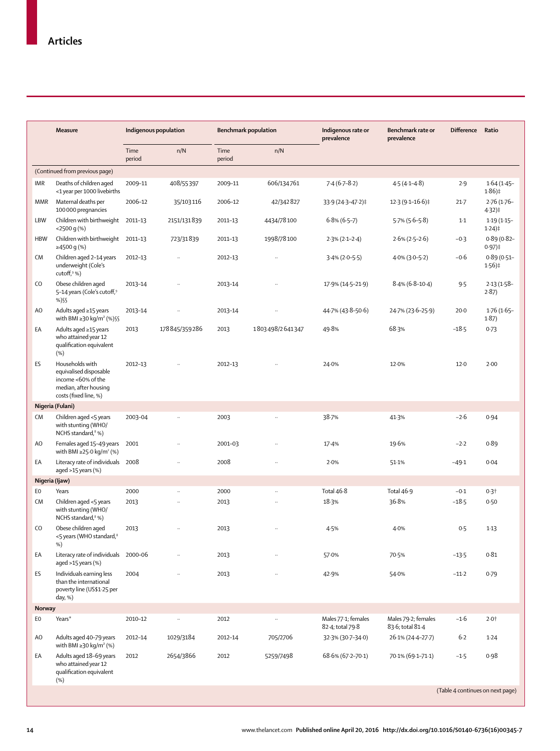|               | <b>Measure</b>                                                                                                    |                | Indigenous population |                | <b>Benchmark population</b> | Indigenous rate or<br>prevalence        | Benchmark rate or<br>prevalence         | <b>Difference</b>                          | Ratio                      |
|---------------|-------------------------------------------------------------------------------------------------------------------|----------------|-----------------------|----------------|-----------------------------|-----------------------------------------|-----------------------------------------|--------------------------------------------|----------------------------|
|               |                                                                                                                   | Time<br>period | n/N                   | Time<br>period | n/N                         |                                         |                                         |                                            |                            |
|               | (Continued from previous page)                                                                                    |                |                       |                |                             |                                         |                                         |                                            |                            |
| <b>IMR</b>    | Deaths of children aged<br><1 year per 1000 livebirths                                                            | 2009-11        | 408/55397             | 2009-11        | 606/134761                  | $7.4(6.7-8.2)$                          | $4.5(4.1 - 4.8)$                        | 2.9                                        | $1.64(1.45 -$<br>$1.86$ )‡ |
| MMR           | Maternal deaths per<br>100000 pregnancies                                                                         | 2006-12        | 35/103116             | 2006-12        | 42/342827                   | 33.9 (24.3-47.2)‡                       | $12.3(9.1 - 16.6)$                      | $21 - 7$                                   | $2.76(1.76 -$<br>4.32)‡    |
| LBW           | Children with birthweight 2011-13<br>$<$ 2500 q $(\%)$                                                            |                | 2151/131839           | 2011-13        | 4434/78100                  | $6.8\%$ (6.5–7)                         | $5.7\%$ (5.6–5.8)                       | $1-1$                                      | $1.19(1.15 -$<br>$1.24$ )‡ |
| <b>HBW</b>    | Children with birthweight 2011-13<br>≥4500 g (%)                                                                  |                | 723/31839             | 2011-13        | 1998/78100                  | $2.3\%$ (2.1-2.4)                       | $2.6\% (2.5 - 2.6)$                     | $-0.3$                                     | $0.89(0.82 -$<br>$0.97$ )‡ |
| <b>CM</b>     | Children aged 2-14 years<br>underweight (Cole's<br>cutoff, $9%$                                                   | 2012-13        | $\ddot{\phantom{a}}$  | 2012-13        |                             | $3.4\%$ (2.0–5.5)                       | $4.0\%$ (3.0–5.2)                       | $-0.6$                                     | $0.89(0.51 -$<br>$1.56$ )‡ |
| CO            | Obese children aged<br>5-14 years (Cole's cutoff, <sup>9</sup><br>%)\$\$                                          | 2013-14        |                       | 2013-14        |                             | 17.9% (14.5-21.9)                       | $8.4\%$ (6.8-10.4)                      | 9.5                                        | $2.13(1.58 -$<br>2.87)     |
| AO            | Adults aged ≥15 years<br>with BMI ≥30 kg/m <sup>2</sup> (%) §§                                                    | 2013-14        | $\ddot{\phantom{a}}$  | 2013-14        | .,                          | 44.7% (43.8–50.6)                       | 24.7% (23.6-25.9)                       | $20 - 0$                                   | $1.76(1.65 -$<br>1.87)     |
| EA            | Adults aged ≥15 years<br>who attained year 12<br>qualification equivalent<br>(%)                                  | 2013           | 178845/359286         | 2013           | 1803498/2641347             | 49.8%                                   | 68.3%                                   | $-18.5$                                    | 0.73                       |
| ES            | Households with<br>equivalised disposable<br>income <60% of the<br>median, after housing<br>costs (fixed line, %) | 2012-13        |                       | 2012-13        |                             | 24.0%                                   | 12.0%                                   | 12.0                                       | 2.00                       |
|               | Nigeria (Fulani)                                                                                                  |                |                       |                |                             |                                         |                                         |                                            |                            |
| <b>CM</b>     | Children aged <5 years<br>with stunting (WHO/<br>NCHS standard, <sup>8</sup> %)                                   | 2003-04        | $\ddotsc$             | 2003           |                             | 38.7%                                   | 41.3%                                   | $-2.6$                                     | 0.94                       |
| AO            | Females aged 15-49 years<br>with BMI ≥25 $\cdot$ 0 kg/m <sup>2</sup> (%)                                          | 2001           |                       | 2001-03        |                             | 17.4%                                   | 19.6%                                   | $-2.2$                                     | 0.89                       |
| EA            | Literacy rate of individuals 2008<br>aged $>15$ years (%)                                                         |                |                       | 2008           |                             | 2.0%                                    | 51.1%                                   | $-49.1$                                    | 0.04                       |
|               | Nigeria (Ijaw)                                                                                                    |                |                       |                |                             |                                         |                                         |                                            |                            |
| EO            | Years                                                                                                             | 2000           | $\ddot{\phantom{a}}$  | 2000           | $\ddot{\phantom{a}}$        | Total 46-8                              | Total 46.9                              | $-0.1$                                     | 0.3 <sup>†</sup>           |
| <b>CM</b>     | Children aged <5 years<br>with stunting (WHO/<br>NCHS standard, <sup>8</sup> %)                                   | 2013           |                       | 2013           |                             | 18.3%                                   | 36.8%                                   | $-18.5$                                    | 0.50                       |
| CO.           | Obese children aged<br><5 years (WHO standard, <sup>8</sup><br>%)                                                 | 2013           | $\ddot{\phantom{a}}$  | 2013           | $\ldots$                    | 4.5%                                    | 4.0%                                    | 0.5                                        | 1.13                       |
| EA            | Literacy rate of individuals 2000-06<br>aged $>15$ years (%)                                                      |                |                       | 2013           |                             | 57.0%                                   | 70.5%                                   | $-13.5$                                    | 0.81                       |
| ES            | Individuals earning less<br>than the international<br>poverty line (US\$1.25 per<br>day, %)                       | 2004           | $\ddot{\phantom{a}}$  | 2013           | $\ldots$                    | 42.9%                                   | 54.0%                                   | $-11-2$                                    | 0.79                       |
| <b>Norway</b> |                                                                                                                   |                |                       |                |                             |                                         |                                         |                                            |                            |
| E0            | Years*                                                                                                            | 2010-12        |                       | 2012           | .,                          | Males 77-1; females<br>82-4; total 79-8 | Males 79-2; females<br>83.6; total 81.4 | $-1.6$                                     | $2.0+$                     |
| AO            | Adults aged 40-79 years<br>with BMI $\geq$ 30 kg/m <sup>2</sup> (%)                                               | 2012-14        | 1029/3184             | 2012-14        | 705/2706                    | 32.3% (30.7-34.0)                       | 26.1% (24.4-27.7)                       | 6.2                                        | 1.24                       |
| ЕA            | Adults aged 18-69 years<br>who attained year 12<br>qualification equivalent<br>(%)                                | 2012           | 2654/3866             | 2012           | 5259/7498                   | 68.6% (67.2-70.1)                       | 70.1% (69.1-71.1)                       | $-1.5$<br>(Table 4 continues on next page) | 0.98                       |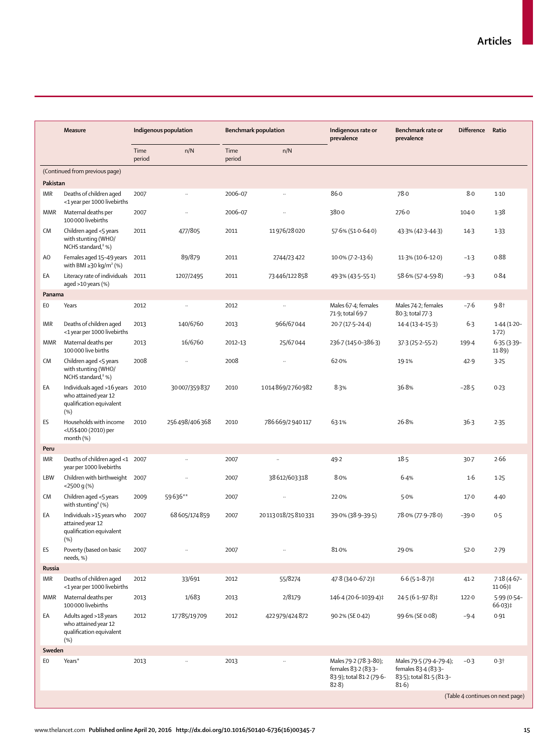|            | Measure                                                                                    | Indigenous population |               |                | <b>Benchmark population</b> | Indigenous rate or<br>prevalence                                                 | Benchmark rate or<br>prevalence                                                     | <b>Difference</b> | Ratio                            |
|------------|--------------------------------------------------------------------------------------------|-----------------------|---------------|----------------|-----------------------------|----------------------------------------------------------------------------------|-------------------------------------------------------------------------------------|-------------------|----------------------------------|
|            |                                                                                            | Time<br>period        | n/N           | Time<br>period | n/N                         |                                                                                  |                                                                                     |                   |                                  |
|            | (Continued from previous page)                                                             |                       |               |                |                             |                                                                                  |                                                                                     |                   |                                  |
| Pakistan   |                                                                                            |                       |               |                |                             |                                                                                  |                                                                                     |                   |                                  |
| IMR        | Deaths of children aged<br><1 year per 1000 livebirths                                     | 2007                  | $\ldots$      | 2006-07        | $\ddotsc$                   | 86.0                                                                             | 78.0                                                                                | 8.0               | $1-10$                           |
| MMR        | Maternal deaths per<br>100 000 livebirths                                                  | 2007                  |               | 2006-07        | $\ddot{\phantom{a}}$        | 380.0                                                                            | 276.0                                                                               | 104.0             | 1.38                             |
| CM         | Children aged <5 years<br>with stunting (WHO/<br>NCHS standard, <sup>8</sup> %)            | 2011                  | 477/805       | 2011           | 11976/28020                 | 57.6% (51.0-64.0)                                                                | 43.3% (42.3-44.3)                                                                   | $14-3$            | $1-33$                           |
| AO         | Females aged 15-49 years<br>with BMI $\geq$ 30 kg/m <sup>2</sup> (%)                       | 2011                  | 89/879        | 2011           | 2744/23 422                 | $10.0\% (7.2 - 13.6)$                                                            | 11.3% (10.6-12.0)                                                                   | $-1.3$            | 0.88                             |
| EA         | Literacy rate of individuals 2011<br>aged $>10$ years (%)                                  |                       | 1207/2495     | 2011           | 73446/122858                | 49.3% (43.5–55.1)                                                                | 58.6% (57.4-59.8)                                                                   | $-9.3$            | 0.84                             |
| Panama     |                                                                                            |                       |               |                |                             |                                                                                  |                                                                                     |                   |                                  |
| E0         | Years                                                                                      | 2012                  | $\ddotsc$     | 2012           | $\ddotsc$                   | Males 67-4; females<br>71.9; total 69.7                                          | Males 74-2; females<br>80-3; total 77-3                                             | $-7.6$            | $9.8 +$                          |
| IMR        | Deaths of children aged<br><1 year per 1000 livebirths                                     | 2013                  | 140/6760      | 2013           | 966/67044                   | 20.7 (17.5-24.4)                                                                 | $14.4(13.4-15.3)$                                                                   | $6-3$             | $1.44(1.20 -$<br>1.72)           |
| MMR        | Maternal deaths per<br>100 000 live births                                                 | 2013                  | 16/6760       | 2012-13        | 25/67044                    | 236-7 (145-0-386-3)                                                              | $37.3(25.2 - 55.2)$                                                                 | 199.4             | $6.35(3.39 -$<br>11.89)          |
| CM         | Children aged <5 years<br>with stunting (WHO/<br>NCHS standard, <sup>8</sup> %)            | 2008                  |               | 2008           |                             | 62.0%                                                                            | 19.1%                                                                               | 42.9              | 3.25                             |
| EA         | Individuals aged >16 years 2010<br>who attained year 12<br>qualification equivalent<br>(%) |                       | 30007/359837  | 2010           | 1014869/2760982             | 8.3%                                                                             | 36.8%                                                                               | $-28.5$           | 0.23                             |
| ES         | Households with income<br><us\$400 (2010)="" per<br="">month (%)</us\$400>                 | 2010                  | 256498/406368 | 2010           | 786669/2940117              | 63.1%                                                                            | 26.8%                                                                               | 36.3              | 2.35                             |
| Peru       |                                                                                            |                       |               |                |                             |                                                                                  |                                                                                     |                   |                                  |
| IMR        | Deaths of children aged <1 2007<br>year per 1000 livebirths                                |                       | $\ldots$      | 2007           | $\ddotsc$                   | 49.2                                                                             | $18-5$                                                                              | $30 - 7$          | 2.66                             |
| <b>LBW</b> | Children with birthweight 2007<br>$<$ 2500 q $(\%)$                                        |                       |               | 2007           | 38612/603318                | 8.0%                                                                             | 6.4%                                                                                | 1.6               | 1.25                             |
| CM         | Children aged <5 years<br>with stunting <sup>8</sup> $(\%)$                                | 2009                  | 59636**       | 2007           |                             | 22.0%                                                                            | 5.0%                                                                                | 17.0              | 4.40                             |
| EA         | Individuals >15 years who<br>attained year 12<br>qualification equivalent<br>(%)           | 2007                  | 68605/174859  | 2007           | 20113018/25810331           | 39.0% (38.9-39.5)                                                                | 78.0% (77.9-78.0)                                                                   | $-39.0$           | 0.5                              |
| ES         | Poverty (based on basic<br>needs, %)                                                       | 2007                  |               | 2007           |                             | 81.0%                                                                            | 29.0%                                                                               | 52.0              | 2.79                             |
| Russia     |                                                                                            |                       |               |                |                             |                                                                                  |                                                                                     |                   |                                  |
| <b>IMR</b> | Deaths of children aged<br><1 year per 1000 livebirths                                     | 2012                  | 33/691        | 2012           | 55/8274                     | 47.8 (34.0-67.2)‡                                                                | $6.6(5.1 - 8.7)$ ‡                                                                  | $41 - 2$          | $7.18(4.67 -$<br>$11.06$ )‡      |
| MMR        | Maternal deaths per<br>100 000 livebirths                                                  | 2013                  | 1/683         | 2013           | 2/8179                      | 146.4 (20.6-1039.4)‡                                                             | 24.5 (6.1-97.8)‡                                                                    | 122.0             | 5.99 (0.54-<br>$66.03$ )‡        |
| EA         | Adults aged >18 years<br>who attained year 12<br>qualification equivalent<br>(%)           | 2012                  | 17785/19709   | 2012           | 422979/424872               | 90.2% (SE 0.42)                                                                  | 99.6% (SE 0.08)                                                                     | $-9.4$            | 0.91                             |
| Sweden     |                                                                                            |                       |               |                |                             |                                                                                  |                                                                                     |                   |                                  |
| EO         | Years*                                                                                     | 2013                  |               | 2013           |                             | Males 79-2 (78-3-80);<br>females 83-2 (83-3-<br>83.9); total 81.2 (79.6-<br>82.8 | Males 79.5 (79.4-79.4);<br>females 83-4 (83-3-<br>83.5); total 81.5 (81.3-<br>81.6) | $-0.3$            | $0.3+$                           |
|            |                                                                                            |                       |               |                |                             |                                                                                  |                                                                                     |                   | (Table 4 continues on next page) |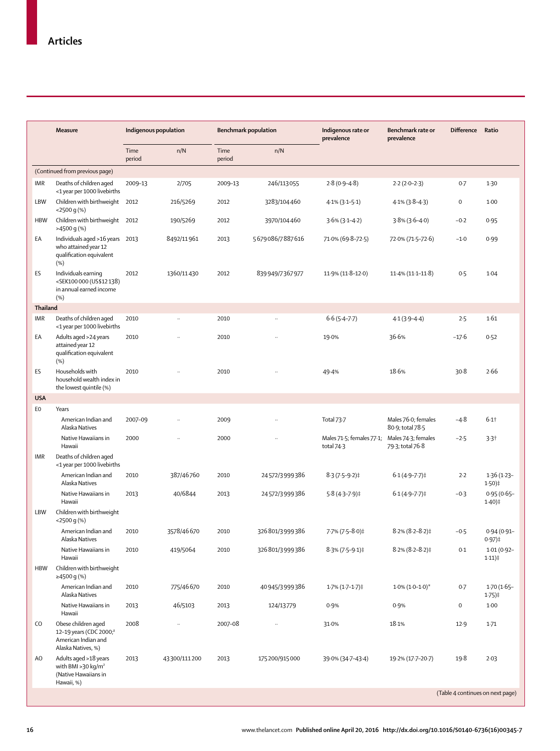|            | <b>Measure</b>                                                                                          | Indigenous population |                      | <b>Benchmark population</b> |                      | Indigenous rate or<br>prevalence        | Benchmark rate or<br>prevalence                             | <b>Difference</b> | Ratio                                |
|------------|---------------------------------------------------------------------------------------------------------|-----------------------|----------------------|-----------------------------|----------------------|-----------------------------------------|-------------------------------------------------------------|-------------------|--------------------------------------|
|            |                                                                                                         | Time<br>period        | n/N                  | Time<br>period              | n/N                  |                                         |                                                             |                   |                                      |
|            | (Continued from previous page)                                                                          |                       |                      |                             |                      |                                         |                                                             |                   |                                      |
| IMR        | Deaths of children aged<br><1 year per 1000 livebirths                                                  | 2009-13               | 2/705                | 2009-13                     | 246/113055           | $2.8(0.9 - 4.8)$                        | $2.2(2.0-2.3)$                                              | 0.7               | $1-30$                               |
| <b>LBW</b> | Children with birthweight<br>$<$ 2500 g(%)                                                              | 2012                  | 216/5269             | 2012                        | 3283/104460          | $4.1\%$ (3.1–5.1)                       | $4.1\%$ (3.8-4.3)                                           | 0                 | 1.00                                 |
| <b>HBW</b> | Children with birthweight 2012<br>>4500 g (%)                                                           |                       | 190/5269             | 2012                        | 3970/104460          | $3.6\%$ (3.1-4.2)                       | $3.8\%$ (3.6-4.0)                                           | $-0.2$            | 0.95                                 |
| EA         | Individuals aged >16 years 2013<br>who attained year 12<br>qualification equivalent<br>(%)              |                       | 8492/11961           | 2013                        | 5679086/7887616      | 71.0% (69.8-72.5)                       | 72.0% (71.5-72.6)                                           | $-1.0$            | 0.99                                 |
| ES         | Individuals earning<br><sek100000 (us\$12138)<br="">in annual earned income<br/>(%)</sek100000>         | 2012                  | 1360/11430           | 2012                        | 839 949/7367 977     | $11.9\%$ (11.8-12.0)                    | $11.4\% (11.1 - 11.8)$                                      | 0.5               | 1.04                                 |
| Thailand   |                                                                                                         |                       |                      |                             |                      |                                         |                                                             |                   |                                      |
| IMR        | Deaths of children aged<br><1 year per 1000 livebirths                                                  | 2010                  |                      | 2010                        | $\ddotsc$            | $6.6(5.4 - 7.7)$                        | $4.1(3.9 - 4.4)$                                            | 2.5               | 1.61                                 |
| EA         | Adults aged >24 years<br>attained year 12<br>qualification equivalent<br>(%)                            | 2010                  |                      | 2010                        |                      | 19.0%                                   | 36.6%                                                       | $-17.6$           | 0.52                                 |
| ES         | Households with<br>household wealth index in<br>the lowest quintile (%)                                 | 2010                  |                      | 2010                        |                      | 49.4%                                   | 18.6%                                                       | 30.8              | 2.66                                 |
| <b>USA</b> |                                                                                                         |                       |                      |                             |                      |                                         |                                                             |                   |                                      |
| EO         | Years<br>American Indian and                                                                            | 2007-09               |                      | 2009                        |                      | Total 73.7                              | Males 76.0; females                                         | $-4.8$            | $6.1$ <sup>+</sup>                   |
|            | Alaska Natives<br>Native Hawaiians in<br>Hawaii                                                         | 2000                  | $\ddot{\phantom{a}}$ | 2000                        | $\ddot{\phantom{a}}$ | Males 71.5; females 77.1;<br>total 74.3 | 80-9; total 78-5<br>Males 74-3; females<br>79.3; total 76.8 | $-2.5$            | 3.3 <sub>†</sub>                     |
| IMR        | Deaths of children aged<br><1 year per 1000 livebirths                                                  |                       |                      |                             |                      |                                         |                                                             |                   |                                      |
|            | American Indian and<br>Alaska Natives                                                                   | 2010                  | 387/46760            | 2010                        | 24572/3999386        | $8.3(7.5-9.2)$ ‡                        | $6.1(4.9 - 7.7)$                                            | $2-2$             | $1.36(1.23 -$<br>$1.50$ )‡           |
|            | Native Hawaiians in<br>Hawaii                                                                           | 2013                  | 40/6844              | 2013                        | 24572/3999386        | $5.8(4.3 - 7.9)$ ‡                      | $6.1(4.9 - 7.7)$                                            | $-0.3$            | $0.95(0.65 -$<br>$1.40$ )‡           |
| LBW        | Children with birthweight<br>$<$ 2500 q $(\%)$                                                          |                       |                      |                             |                      |                                         |                                                             |                   |                                      |
|            | American Indian and<br>Alaska Natives                                                                   | 2010                  | 3578/46670           | 2010                        | 326801/3999386       | 7-7% (7-5-8-0)‡                         | $8.2\%$ (8.2-8.2)‡                                          | $-0.5$            | $0.94(0.91 -$<br>$0.97)$ ‡           |
|            | Native Hawaiians in<br>Hawaii                                                                           | 2010                  | 419/5064             | 2010                        | 326801/3999386       | $8.3\%$ (7.5-9.1)‡                      | $8.2\%$ (8.2-8.2)‡                                          | 0.1               | $1.01(0.92 -$<br>$1.11$ ) $\ddagger$ |
| <b>HBW</b> | Children with birthweight<br>≥4500 g (%)                                                                |                       |                      |                             |                      |                                         |                                                             |                   |                                      |
|            | American Indian and<br>Alaska Natives                                                                   | 2010                  | 775/46670            | 2010                        | 40945/3999386        | 1.7% (1.7-1.7)‡                         | $1.0\% (1.0 - 1.0)^*$                                       | 0.7               | $1.70(1.65 -$<br>$1.75$ )‡           |
|            | Native Hawaiians in<br>Hawaii                                                                           | 2013                  | 46/5103              | 2013                        | 124/13779            | 0.9%                                    | 0.9%                                                        | 0                 | 1.00                                 |
| CO         | Obese children aged<br>12-19 years (CDC 2000; <sup>8</sup><br>American Indian and<br>Alaska Natives, %) | 2008                  | $\cdot$              | 2007-08                     | $\ldots$             | 31.0%                                   | 18.1%                                                       | 12.9              | $1-71$                               |
| AO         | Adults aged >18 years<br>with BMI > 30 kg/m <sup>2</sup><br>(Native Hawaiians in<br>Hawaii, %)          | 2013                  | 43300/111200         | 2013                        | 175 200/915 000      | 39.0% (34.7-43.4)                       | 19.2% (17.7-20.7)                                           | 19.8              | 2.03                                 |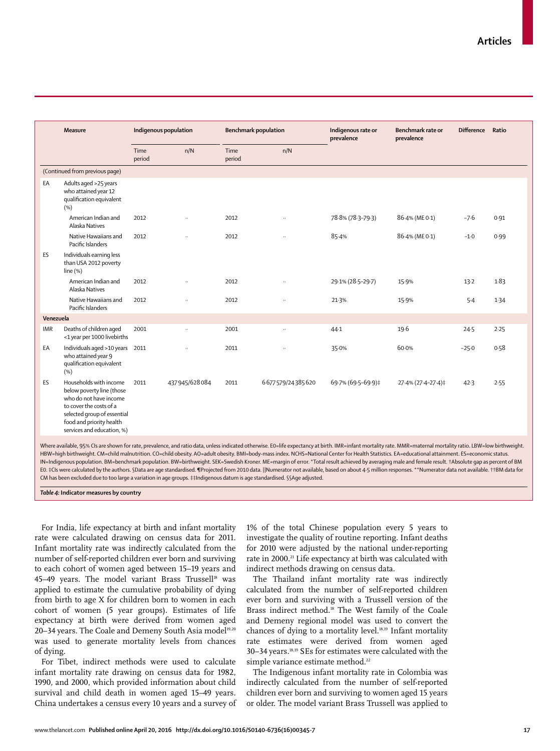|            | <b>Measure</b>                                                                                                                                                                                    | Indigenous population |                      | <b>Benchmark population</b> |                  | Indigenous rate or<br>prevalence | Benchmark rate or<br>prevalence | <b>Difference</b> | Ratio |
|------------|---------------------------------------------------------------------------------------------------------------------------------------------------------------------------------------------------|-----------------------|----------------------|-----------------------------|------------------|----------------------------------|---------------------------------|-------------------|-------|
|            |                                                                                                                                                                                                   | Time<br>period        | n/N                  | Time<br>period              | n/N              |                                  |                                 |                   |       |
|            | (Continued from previous page)                                                                                                                                                                    |                       |                      |                             |                  |                                  |                                 |                   |       |
| EA         | Adults aged >25 years<br>who attained year 12<br>qualification equivalent<br>(% )                                                                                                                 |                       |                      |                             |                  |                                  |                                 |                   |       |
|            | American Indian and<br>Alaska Natives                                                                                                                                                             | 2012                  | $\ddot{\phantom{0}}$ | 2012                        |                  | 78.8% (78.3-79.3)                | 86-4% (ME 0-1)                  | $-7.6$            | 0.91  |
|            | Native Hawaiians and<br>Pacific Islanders                                                                                                                                                         | 2012                  | $\ddot{\phantom{a}}$ | 2012                        | $\ddotsc$        | 85.4%                            | 86-4% (ME 0-1)                  | $-1.0$            | 0.99  |
| ES         | Individuals earning less<br>than USA 2012 poverty<br>line <sup>(%)</sup>                                                                                                                          |                       |                      |                             |                  |                                  |                                 |                   |       |
|            | American Indian and<br>Alaska Natives                                                                                                                                                             | 2012                  | $\ddot{\phantom{a}}$ | 2012                        |                  | 29.1% (28.5-29.7)                | 15.9%                           | $13 - 2$          | 1.83  |
|            | Native Hawaiians and<br>Pacific Islanders                                                                                                                                                         | 2012                  | $\ddotsc$            | 2012                        | $\ddotsc$        | 21.3%                            | 15.9%                           | 5.4               | 1.34  |
| Venezuela  |                                                                                                                                                                                                   |                       |                      |                             |                  |                                  |                                 |                   |       |
| <b>IMR</b> | Deaths of children aged<br><1 year per 1000 livebirths                                                                                                                                            | 2001                  | $\ddot{\phantom{a}}$ | 2001                        | $\ddotsc$        | $44-1$                           | 19.6                            | 24.5              | 2.25  |
| EA         | Individuals aged >10 years<br>who attained year 9<br>qualification equivalent<br>(%)                                                                                                              | 2011                  | $\ddot{\phantom{a}}$ | 2011                        | $\ddotsc$        | 35.0%                            | 60.0%                           | $-25.0$           | 0.58  |
| ES         | Households with income<br>below poverty line (those<br>who do not have income<br>to cover the costs of a<br>selected group of essential<br>food and priority health<br>services and education, %) | 2011                  | 437 945/628 084      | 2011                        | 6677579/24385620 | 69.7% (69.5-69.9)‡               | 27-4% (27-4-27-4)‡              | 42.3              | 2.55  |

Where available, 95% CIs are shown for rate, prevalence, and ratio data, unless indicated otherwise. E0=life expectancy at birth. IMR=infant mortality rate. MMR=maternal mortality ratio. LBW=low birthweight. HBW=high birthweight. CM=child malnutrition. CO=child obesity. AO=adult obesity. BMI=body-mass index. NCHS=National Center for Health Statistics. EA=educational attainment. ES=economic status. IN=Indigenous population. BM=benchmark population. BW=birthweight. SEK=Swedish Kroner. ME=margin of error. \*Total result achieved by averaging male and female result. †Absolute gap as percent of BM E0. ‡CIs were calculated by the authors. §Data are age standardised. ¶Projected from 2010 data. ||Numerator not available, based on about 4·5 million responses. \*\*Numerator data not available. ††BM data for CM has been excluded due to too large a variation in age groups. ‡‡Indigenous datum is age standardised. §§Age adjusted.

*Table 4:* **Indicator measures by country**

For India, life expectancy at birth and infant mortality rate were calculated drawing on census data for 2011. Infant mortality rate was indirectly calculated from the number of self-reported children ever born and surviving to each cohort of women aged between 15–19 years and 45-49 years. The model variant Brass Trussell<sup>18</sup> was applied to estimate the cumulative probability of dying from birth to age X for children born to women in each cohort of women (5 year groups). Estimates of life expectancy at birth were derived from women aged 20–34 years. The Coale and Demeny South Asia model<sup>19,20</sup> was used to generate mortality levels from chances of dying.

For Tibet, indirect methods were used to calculate infant mortality rate drawing on census data for 1982, 1990, and 2000, which provided information about child survival and child death in women aged 15–49 years. China undertakes a census every 10 years and a survey of 1% of the total Chinese population every 5 years to investigate the quality of routine reporting. Infant deaths for 2010 were adjusted by the national under-reporting rate in 2000.21 Life expectancy at birth was calculated with indirect methods drawing on census data.

The Thailand infant mortality rate was indirectly calculated from the number of self-reported children ever born and surviving with a Trussell version of the Brass indirect method.<sup>18</sup> The West family of the Coale and Demeny regional model was used to convert the chances of dying to a mortality level.18,19 Infant mortality rate estimates were derived from women aged 30–34 years.18,19 SEs for estimates were calculated with the simple variance estimate method.<sup>22</sup>

The Indigenous infant mortality rate in Colombia was indirectly calculated from the number of self-reported children ever born and surviving to women aged 15 years or older. The model variant Brass Trussell was applied to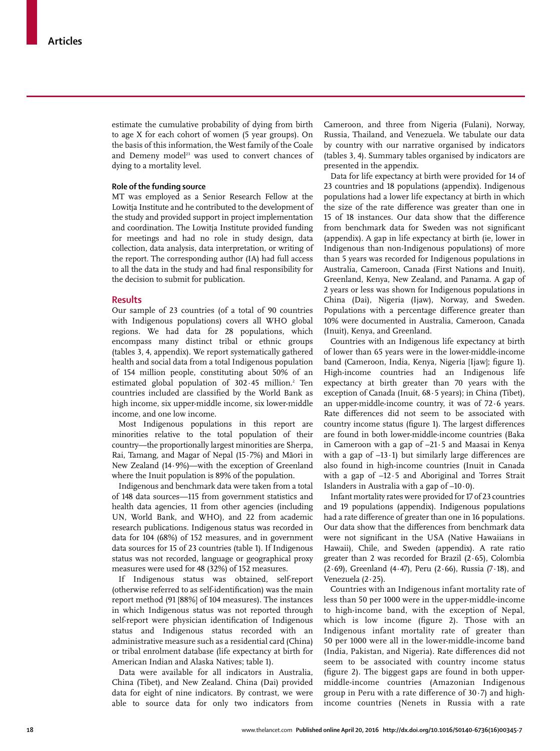estimate the cumulative probability of dying from birth to age X for each cohort of women (5 year groups). On the basis of this information, the West family of the Coale and Demeny model<sup>23</sup> was used to convert chances of dying to a mortality level.

# **Role of the funding source**

MT was employed as a Senior Research Fellow at the Lowitja Institute and he contributed to the development of the study and provided support in project implementation and coordination. The Lowitja Institute provided funding for meetings and had no role in study design, data collection, data analysis, data interpretation, or writing of the report. The corresponding author (IA) had full access to all the data in the study and had final responsibility for the decision to submit for publication.

## **Results**

Our sample of 23 countries (of a total of 90 countries with Indigenous populations) covers all WHO global regions. We had data for 28 populations, which encompass many distinct tribal or ethnic groups (tables 3, 4, appendix). We report systematically gathered health and social data from a total Indigenous population of 154 million people, constituting about 50% of an estimated global population of  $302.45$  million.<sup>2</sup> Ten countries included are classified by the World Bank as high income, six upper-middle income, six lower-middle income, and one low income.

Most Indigenous populations in this report are minorities relative to the total population of their country—the proportionally largest minorities are Sherpa, Rai, Tamang, and Magar of Nepal (15·7%) and Māori in New Zealand (14·9%)—with the exception of Greenland where the Inuit population is 89% of the population.

Indigenous and benchmark data were taken from a total of 148 data sources—115 from government statistics and health data agencies, 11 from other agencies (including UN, World Bank, and WHO), and 22 from academic research publications. Indigenous status was recorded in data for 104 (68%) of 152 measures, and in government data sources for 15 of 23 countries (table 1). If Indigenous status was not recorded, language or geographical proxy measures were used for 48 (32%) of 152 measures.

If Indigenous status was obtained, self-report (otherwise referred to as self-identification) was the main report method (91 [88%] of 104 measures). The instances in which Indigenous status was not reported through self-report were physician identification of Indigenous status and Indigenous status recorded with an administrative measure such as a residential card (China) or tribal enrolment database (life expectancy at birth for American Indian and Alaska Natives; table 1).

Data were available for all indicators in Australia, China (Tibet), and New Zealand. China (Dai) provided data for eight of nine indicators. By contrast, we were able to source data for only two indicators from

Cameroon, and three from Nigeria (Fulani), Norway, Russia, Thailand, and Venezuela. We tabulate our data by country with our narrative organised by indicators (tables 3, 4). Summary tables organised by indicators are presented in the appendix.

Data for life expectancy at birth were provided for 14 of 23 countries and 18 populations (appendix). Indigenous populations had a lower life expectancy at birth in which the size of the rate difference was greater than one in 15 of 18 instances. Our data show that the difference from benchmark data for Sweden was not significant (appendix). A gap in life expectancy at birth (ie, lower in Indigenous than non-Indigenous populations) of more than 5 years was recorded for Indigenous populations in Australia, Cameroon, Canada (First Nations and Inuit), Greenland, Kenya, New Zealand, and Panama. A gap of 2 years or less was shown for Indigenous populations in China (Dai), Nigeria (Ijaw), Norway, and Sweden. Populations with a percentage difference greater than 10% were documented in Australia, Cameroon, Canada (Inuit), Kenya, and Greenland.

Countries with an Indigenous life expectancy at birth of lower than 65 years were in the lower-middle-income band (Cameroon, India, Kenya, Nigeria [Ijaw]; figure 1). High-income countries had an Indigenous life expectancy at birth greater than 70 years with the exception of Canada (Inuit, 68·5 years); in China (Tibet), an upper-middle-income country, it was of 72·6 years. Rate differences did not seem to be associated with country income status (figure 1). The largest differences are found in both lower-middle-income countries (Baka in Cameroon with a gap of –21·5 and Maasai in Kenya with a gap of  $-13 \cdot 1$ ) but similarly large differences are also found in high-income countries (Inuit in Canada with a gap of –12·5 and Aboriginal and Torres Strait Islanders in Australia with a gap of  $-10.0$ ).

Infant mortality rates were provided for 17 of 23 countries and 19 populations (appendix). Indigenous populations had a rate difference of greater than one in 16 populations. Our data show that the differences from benchmark data were not significant in the USA (Native Hawaiians in Hawaii), Chile, and Sweden (appendix). A rate ratio greater than 2 was recorded for Brazil (2·65), Colombia (2·69), Greenland (4·47), Peru (2·66), Russia (7·18), and Venezuela (2·25).

Countries with an Indigenous infant mortality rate of less than 50 per 1000 were in the upper-middle-income to high-income band, with the exception of Nepal, which is low income (figure 2). Those with an Indigenous infant mortality rate of greater than 50 per 1000 were all in the lower-middle-income band (India, Pakistan, and Nigeria). Rate differences did not seem to be associated with country income status (figure 2). The biggest gaps are found in both uppermiddle-income countries (Amazonian Indigenous group in Peru with a rate difference of  $30.7$ ) and highincome countries (Nenets in Russia with a rate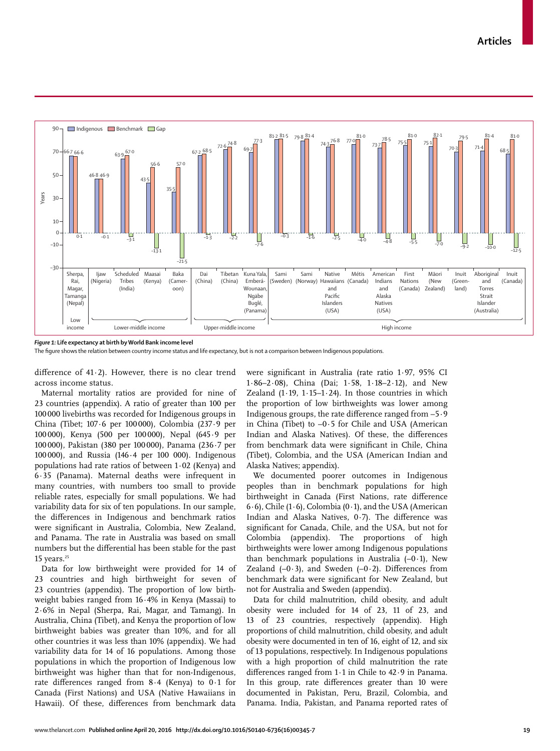

*Figure 1:* **Life expectancy at birth by World Bank income level**

The figure shows the relation between country income status and life expectancy, but is not a comparison between Indigenous populations.

difference of 41 $\cdot$ 2). However, there is no clear trend across income status.

Maternal mortality ratios are provided for nine of 23 countries (appendix). A ratio of greater than 100 per 100 000 livebirths was recorded for Indigenous groups in China (Tibet; 107·6 per 100 000), Colombia (237·9 per 100 000), Kenya (500 per 100 000), Nepal (645·9 per 100 000), Pakistan (380 per 100 000), Panama (236·7 per 100 000), and Russia (146·4 per 100 000). Indigenous populations had rate ratios of between 1·02 (Kenya) and 6·35 (Panama). Maternal deaths were infrequent in many countries, with numbers too small to provide reliable rates, especially for small populations. We had variability data for six of ten populations. In our sample, the differences in Indigenous and benchmark ratios were significant in Australia, Colombia, New Zealand, and Panama. The rate in Australia was based on small numbers but the differential has been stable for the past  $15$  years.<sup>25</sup>

Data for low birthweight were provided for 14 of 23 countries and high birthweight for seven of 23 countries (appendix). The proportion of low birthweight babies ranged from 16·4% in Kenya (Massai) to 2·6% in Nepal (Sherpa, Rai, Magar, and Tamang). In Australia, China (Tibet), and Kenya the proportion of low birthweight babies was greater than 10%, and for all other countries it was less than 10% (appendix). We had variability data for 14 of 16 populations. Among those populations in which the proportion of Indigenous low birthweight was higher than that for non-Indigenous, rate differences ranged from  $8.4$  (Kenya) to  $0.1$  for Canada (First Nations) and USA (Native Hawaiians in Hawaii). Of these, differences from benchmark data

were significant in Australia (rate ratio 1.97, 95% CI 1·86–2·08), China (Dai; 1·58, 1·18–2·12), and New Zealand (1 $\cdot$ 19, 1 $\cdot$ 15-1 $\cdot$ 24). In those countries in which the proportion of low birthweights was lower among Indigenous groups, the rate difference ranged from −5.9 in China (Tibet) to −0·5 for Chile and USA (American Indian and Alaska Natives). Of these, the differences from benchmark data were significant in Chile, China (Tibet), Colombia, and the USA (American Indian and Alaska Natives; appendix).

We documented poorer outcomes in Indigenous peoples than in benchmark populations for high birthweight in Canada (First Nations, rate difference 6·6), Chile (1·6), Colombia (0·1), and the USA (American Indian and Alaska Natives,  $0.7$ ). The difference was significant for Canada, Chile, and the USA, but not for Colombia (appendix). The proportions of high birthweights were lower among Indigenous populations than benchmark populations in Australia (−0·1), New Zealand  $(-0.3)$ , and Sweden  $(-0.2)$ . Differences from benchmark data were significant for New Zealand, but not for Australia and Sweden (appendix).

Data for child malnutrition, child obesity, and adult obesity were included for 14 of 23, 11 of 23, and 13 of 23 countries, respectively (appendix). High proportions of child malnutrition, child obesity, and adult obesity were documented in ten of 16, eight of 12, and six of 13 populations, respectively. In Indigenous populations with a high proportion of child malnutrition the rate differences ranged from 1.1 in Chile to 42.9 in Panama. In this group, rate differences greater than 10 were documented in Pakistan, Peru, Brazil, Colombia, and Panama. India, Pakistan, and Panama reported rates of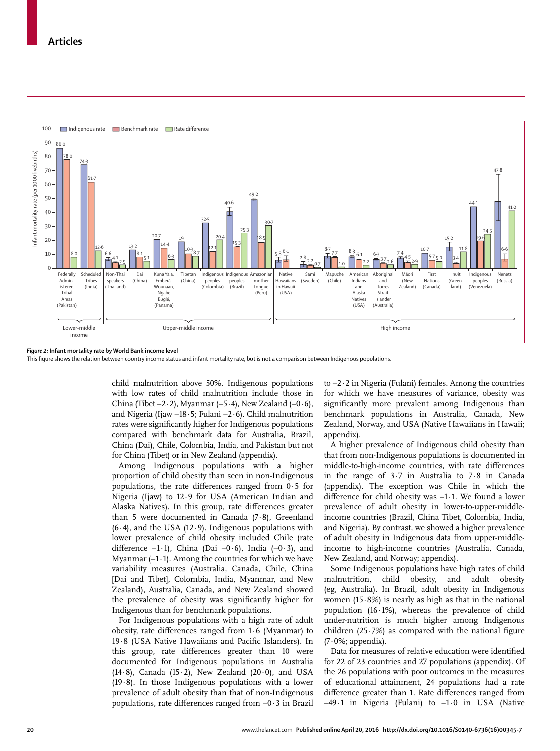

#### *Figure 2:* **Infant mortality rate by World Bank income level**

This figure shows the relation between country income status and infant mortality rate, but is not a comparison between Indigenous populations.

child malnutrition above 50%. Indigenous populations with low rates of child malnutrition include those in China (Tibet −2·2), Myanmar (−5·4), New Zealand (−0·6), and Nigeria (Ijaw −18·5; Fulani −2·6). Child malnutrition rates were significantly higher for Indigenous populations compared with benchmark data for Australia, Brazil, China (Dai), Chile, Colombia, India, and Pakistan but not for China (Tibet) or in New Zealand (appendix).

Among Indigenous populations with a higher proportion of child obesity than seen in non-Indigenous populations, the rate differences ranged from  $0.5$  for Nigeria (Ijaw) to 12·9 for USA (American Indian and Alaska Natives). In this group, rate differences greater than 5 were documented in Canada (7·8), Greenland  $(6.4)$ , and the USA  $(12.9)$ . Indigenous populations with lower prevalence of child obesity included Chile (rate difference  $-1.1$ ), China (Dai  $-0.6$ ), India  $(-0.3)$ , and Myanmar (−1·1). Among the countries for which we have variability measures (Australia, Canada, Chile, China [Dai and Tibet], Colombia, India, Myanmar, and New Zealand), Australia, Canada, and New Zealand showed the prevalence of obesity was significantly higher for Indigenous than for benchmark populations.

For Indigenous populations with a high rate of adult obesity, rate differences ranged from  $1.6$  (Myanmar) to 19.8 (USA Native Hawaiians and Pacific Islanders). In this group, rate differences greater than 10 were documented for Indigenous populations in Australia (14 $\cdot$ 8), Canada (15 $\cdot$ 2), New Zealand (20 $\cdot$ 0), and USA (19·8). In those Indigenous populations with a lower prevalence of adult obesity than that of non-Indigenous populations, rate differences ranged from −0.3 in Brazil to −2·2 in Nigeria (Fulani) females. Among the countries for which we have measures of variance, obesity was significantly more prevalent among Indigenous than benchmark populations in Australia, Canada, New Zealand, Norway, and USA (Native Hawaiians in Hawaii; appendix).

A higher prevalence of Indigenous child obesity than that from non-Indigenous populations is documented in middle-to-high-income countries, with rate differences in the range of 3·7 in Australia to 7·8 in Canada (appendix). The exception was Chile in which the difference for child obesity was -1⋅1. We found a lower prevalence of adult obesity in lower-to-upper-middleincome countries (Brazil, China Tibet, Colombia, India, and Nigeria). By contrast, we showed a higher prevalence of adult obesity in Indigenous data from upper-middleincome to high-income countries (Australia, Canada, New Zealand, and Norway; appendix).

Some Indigenous populations have high rates of child malnutrition, child obesity, and adult obesity (eg, Australia). In Brazil, adult obesity in Indigenous women  $(15.8\%)$  is nearly as high as that in the national population (16·1%), whereas the prevalence of child under-nutrition is much higher among Indigenous children  $(25.7%)$  as compared with the national figure  $(7.0\%;$  appendix).

Data for measures of relative education were identified for 22 of 23 countries and 27 populations (appendix). Of the 26 populations with poor outcomes in the measures of educational attainment, 24 populations had a rate difference greater than 1. Rate differences ranged from −49·1 in Nigeria (Fulani) to −1·0 in USA (Native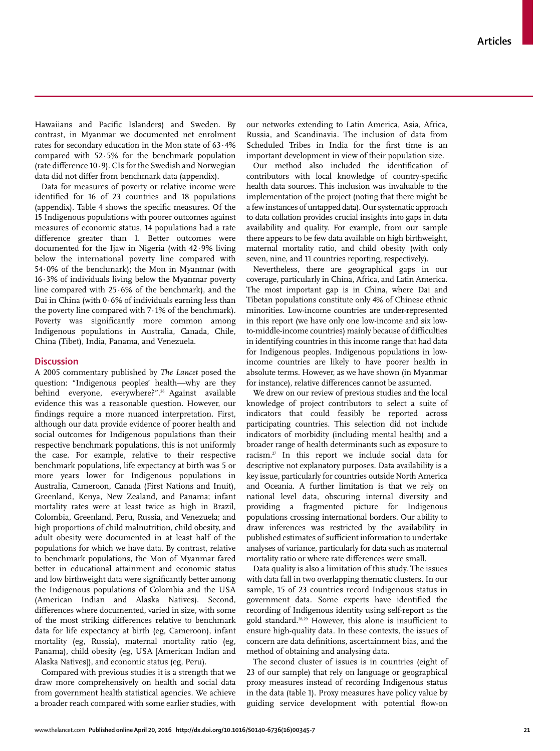Hawaiians and Pacific Islanders) and Sweden. By contrast, in Myanmar we documented net enrolment rates for secondary education in the Mon state of 63·4% compared with 52·5% for the benchmark population (rate difference  $10 \cdot 9$ ). CIs for the Swedish and Norwegian data did not differ from benchmark data (appendix).

Data for measures of poverty or relative income were identified for 16 of 23 countries and 18 populations (appendix). Table 4 shows the specific measures. Of the 15 Indigenous populations with poorer outcomes against measures of economic status, 14 populations had a rate difference greater than 1. Better outcomes were documented for the Ijaw in Nigeria (with  $42.9\%$  living below the international poverty line compared with 54·0% of the benchmark); the Mon in Myanmar (with 16·3% of individuals living below the Myanmar poverty line compared with 25·6% of the benchmark), and the Dai in China (with  $0.6\%$  of individuals earning less than the poverty line compared with 7·1% of the benchmark). Poverty was significantly more common among Indigenous populations in Australia, Canada, Chile, China (Tibet), India, Panama, and Venezuela.

# **Discussion**

A 2005 commentary published by *The Lancet* posed the question: "Indigenous peoples' health—why are they behind everyone, everywhere?".26 Against available evidence this was a reasonable question. However, our findings require a more nuanced interpretation. First, although our data provide evidence of poorer health and social outcomes for Indigenous populations than their respective benchmark populations, this is not uniformly the case. For example, relative to their respective benchmark populations, life expectancy at birth was 5 or more years lower for Indigenous populations in Australia, Cameroon, Canada (First Nations and Inuit), Greenland, Kenya, New Zealand, and Panama; infant mortality rates were at least twice as high in Brazil, Colombia, Greenland, Peru, Russia, and Venezuela; and high proportions of child malnutrition, child obesity, and adult obesity were documented in at least half of the populations for which we have data. By contrast, relative to benchmark populations, the Mon of Myanmar fared better in educational attainment and economic status and low birthweight data were significantly better among the Indigenous populations of Colombia and the USA (American Indian and Alaska Natives). Second, differences where documented, varied in size, with some of the most striking differences relative to benchmark data for life expectancy at birth (eg, Cameroon), infant mortality (eg, Russia), maternal mortality ratio (eg, Panama), child obesity (eg, USA [American Indian and Alaska Natives]), and economic status (eg, Peru).

Compared with previous studies it is a strength that we draw more comprehensively on health and social data from government health statistical agencies. We achieve a broader reach compared with some earlier studies, with our networks extending to Latin America, Asia, Africa, Russia, and Scandinavia. The inclusion of data from Scheduled Tribes in India for the first time is an important development in view of their population size.

Our method also included the identification of contributors with local knowledge of country-specific health data sources. This inclusion was invaluable to the implementation of the project (noting that there might be a few instances of untapped data). Our systematic approach to data collation provides crucial insights into gaps in data availability and quality. For example, from our sample there appears to be few data available on high birthweight, maternal mortality ratio, and child obesity (with only seven, nine, and 11 countries reporting, respectively).

Nevertheless, there are geographical gaps in our coverage, particularly in China, Africa, and Latin America. The most important gap is in China, where Dai and Tibetan populations constitute only 4% of Chinese ethnic minorities. Low-income countries are under-represented in this report (we have only one low-income and six lowto-middle-income countries) mainly because of difficulties in identifying countries in this income range that had data for Indigenous peoples. Indigenous populations in lowincome countries are likely to have poorer health in absolute terms. However, as we have shown (in Myanmar for instance), relative differences cannot be assumed.

We drew on our review of previous studies and the local knowledge of project contributors to select a suite of indicators that could feasibly be reported across participating countries. This selection did not include indicators of morbidity (including mental health) and a broader range of health determinants such as exposure to racism.27 In this report we include social data for descriptive not explanatory purposes. Data availability is a key issue, particularly for countries outside North America and Oceania. A further limitation is that we rely on national level data, obscuring internal diversity and providing a fragmented picture for Indigenous populations crossing international borders. Our ability to draw inferences was restricted by the availability in published estimates of sufficient information to undertake analyses of variance, particularly for data such as maternal mortality ratio or where rate differences were small.

Data quality is also a limitation of this study. The issues with data fall in two overlapping thematic clusters. In our sample, 15 of 23 countries record Indigenous status in government data. Some experts have identified the recording of Indigenous identity using self-report as the gold standard.<sup>28,29</sup> However, this alone is insufficient to ensure high-quality data. In these contexts, the issues of concern are data definitions, ascertainment bias, and the method of obtaining and analysing data.

The second cluster of issues is in countries (eight of 23 of our sample) that rely on language or geographical proxy measures instead of recording Indigenous status in the data (table 1). Proxy measures have policy value by guiding service development with potential flow-on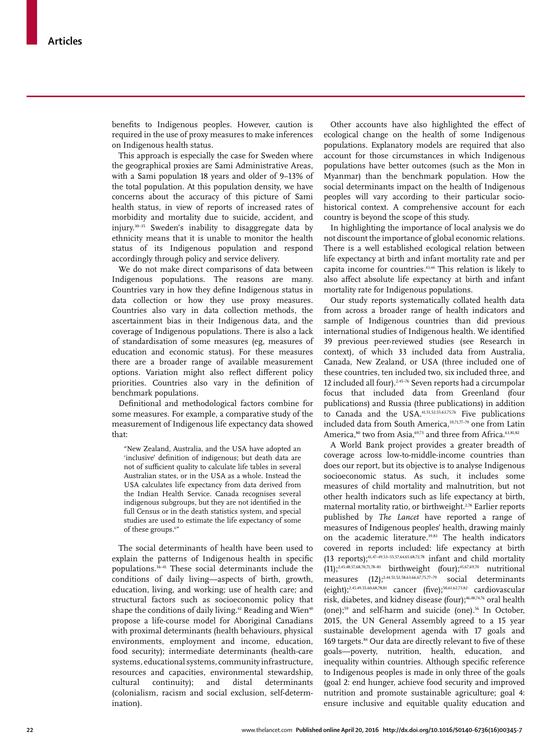benefits to Indigenous peoples. However, caution is required in the use of proxy measures to make inferences on Indigenous health status.

This approach is especially the case for Sweden where the geographical proxies are Sami Administrative Areas, with a Sami population 18 years and older of 9–13% of the total population. At this population density, we have concerns about the accuracy of this picture of Sami health status, in view of reports of increased rates of morbidity and mortality due to suicide, accident, and injury.30–35 Sweden's inability to disaggregate data by ethnicity means that it is unable to monitor the health status of its Indigenous population and respond accordingly through policy and service delivery.

We do not make direct comparisons of data between Indigenous populations. The reasons are many. Countries vary in how they define Indigenous status in data collection or how they use proxy measures. Countries also vary in data collection methods, the ascertainment bias in their Indigenous data, and the coverage of Indigenous populations. There is also a lack of standardisation of some measures (eg, measures of education and economic status). For these measures there are a broader range of available measurement options. Variation might also reflect different policy priorities. Countries also vary in the definition of benchmark populations.

Definitional and methodological factors combine for some measures. For example, a comparative study of the measurement of Indigenous life expectancy data showed that:

"New Zealand, Australia, and the USA have adopted an 'inclusive' definition of indigenous; but death data are not of sufficient quality to calculate life tables in several Australian states, or in the USA as a whole. Instead the USA calculates life expectancy from data derived from the Indian Health Service. Canada recognises several indigenous subgroups, but they are not identified in the full Census or in the death statistics system, and special studies are used to estimate the life expectancy of some of these groups.6"

The social determinants of health have been used to explain the patterns of Indigenous health in specific populations.36–41 These social determinants include the conditions of daily living—aspects of birth, growth, education, living, and working; use of health care; and structural factors such as socioeconomic policy that shape the conditions of daily living.<sup>42</sup> Reading and Wien<sup>40</sup> propose a life-course model for Aboriginal Canadians with proximal determinants (health behaviours, physical environments, employment and income, education, food security); intermediate determinants (health-care systems, educational systems, community infrastructure, resources and capacities, environmental stewardship, cultural continuity); and distal determinants (colonialism, racism and social exclusion, self-determination).

Other accounts have also highlighted the effect of ecological change on the health of some Indigenous populations. Explanatory models are required that also account for those circumstances in which Indigenous populations have better outcomes (such as the Mon in Myanmar) than the benchmark population. How the social determinants impact on the health of Indigenous peoples will vary according to their particular sociohistorical context. A comprehensive account for each country is beyond the scope of this study.

In highlighting the importance of local analysis we do not discount the importance of global economic relations. There is a well established ecological relation between life expectancy at birth and infant mortality rate and per capita income for countries.43,44 This relation is likely to also affect absolute life expectancy at birth and infant mortality rate for Indigenous populations.

Our study reports systematically collated health data from across a broader range of health indicators and sample of Indigenous countries than did previous international studies of Indigenous health. We identified 39 previous peer-reviewed studies (see Research in context), of which 33 included data from Australia, Canada, New Zealand, or USA (three included one of these countries, ten included two, six included three, and 12 included all four).<sup>2,45-76</sup> Seven reports had a circumpolar focus that included data from Greenland (four publications) and Russia (three publications) in addition to Canada and the USA.41,51,52,55,63,75,76 Five publications included data from South America,<sup>59,71,77-79</sup> one from Latin America,<sup>80</sup> two from Asia,<sup>69,73</sup> and three from Africa.<sup>63,81,82</sup>

A World Bank project provides a greater breadth of coverage across low-to-middle-income countries than does our report, but its objective is to analyse Indigenous socioeconomic status. As such, it includes some measures of child mortality and malnutrition, but not other health indicators such as life expectancy at birth, maternal mortality ratio, or birthweight.<sup>2,78</sup> Earlier reports published by *The Lancet* have reported a range of measures of Indigenous peoples' health, drawing mainly on the academic literature.<sup>39,83</sup> The health indicators covered in reports included: life expectancy at birth  $(13$  reports);<sup>41,47–49,53–55,57,64,65,68,72,78</sup> infant and child mortality  $(11);^{2,45,48,57,68,70,71,78-81}$  birthweight (four);<sup>45,67,69,70</sup> nutritional measures  $(12)$ ;<sup>2,44,51,52,58,63,66,67,75,77-79</sup> social determinants (eight);<sup>2,45,49,55,60,68,78,81</sup> cancer (five);<sup>50,61,62,73,82</sup> cardiovascular risk, diabetes, and kidney disease (four);<sup>46,48,74,76</sup> oral health (one);<sup>59</sup> and self-harm and suicide (one).<sup>56</sup> In October, 2015, the UN General Assembly agreed to a 15 year sustainable development agenda with 17 goals and 169 targets.<sup>84</sup> Our data are directly relevant to five of these goals—poverty, nutrition, health, education, and inequality within countries. Although specific reference to Indigenous peoples is made in only three of the goals (goal 2: end hunger, achieve food security and improved nutrition and promote sustainable agriculture; goal 4: ensure inclusive and equitable quality education and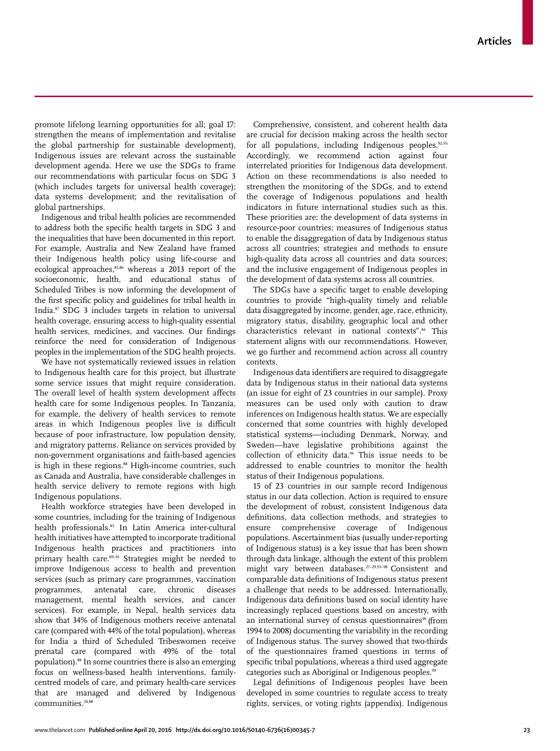promote lifelong learning opportunities for all; goal 17: strengthen the means of implementation and revitalise the global partnership for sustainable development), Indigenous issues are relevant across the sustainable development agenda. Here we use the SDGs to frame our recommendations with particular focus on SDG 3 (which includes targets for universal health coverage); data systems development; and the revitalisation of global partnerships.

Indigenous and tribal health policies are recommended to address both the specific health targets in SDG 3 and the inequalities that have been documented in this report. For example, Australia and New Zealand have framed their Indigenous health policy using life-course and ecological approaches,<sup>85,86</sup> whereas a 2013 report of the socioeconomic, health, and educational status of Scheduled Tribes is now informing the development of the first specific policy and guidelines for tribal health in India.87 SDG 3 includes targets in relation to universal health coverage, ensuring access to high-quality essential health services, medicines, and vaccines. Our findings reinforce the need for consideration of Indigenous peoples in the implementation of the SDG health projects.

We have not systematically reviewed issues in relation to Indigenous health care for this project, but illustrate some service issues that might require consideration. The overall level of health system development affects health care for some Indigenous peoples. In Tanzania, for example, the delivery of health services to remote areas in which Indigenous peoples live is difficult because of poor infrastructure, low population density, and migratory patterns. Reliance on services provided by non-government organisations and faith-based agencies is high in these regions.<sup>88</sup> High-income countries, such as Canada and Australia, have considerable challenges in health service delivery to remote regions with high Indigenous populations.

Health workforce strategies have been developed in some countries, including for the training of Indigenous health professionals.<sup>85</sup> In Latin America inter-cultural health initiatives have attempted to incorporate traditional Indigenous health practices and practitioners into primary health care.<sup>89–91</sup> Strategies might be needed to improve Indigenous access to health and prevention services (such as primary care programmes, vaccination programmes, antenatal care, chronic diseases management, mental health services, and cancer services). For example, in Nepal, health services data show that 34% of Indigenous mothers receive antenatal care (compared with 44% of the total population), whereas for India a third of Scheduled Tribeswomen receive prenatal care (compared with 49% of the total population).88 In some countries there is also an emerging focus on wellness-based health interventions, familycentred models of care, and primary health-care services that are managed and delivered by Indigenous communities.<sup>38,88</sup>

Comprehensive, consistent, and coherent health data are crucial for decision making across the health sector for all populations, including Indigenous peoples. $92,93$ Accordingly, we recommend action against four interrelated priorities for Indigenous data development. Action on these recommendations is also needed to strengthen the monitoring of the SDGs, and to extend the coverage of Indigenous populations and health indicators in future international studies such as this. These priorities are: the development of data systems in resource-poor countries; measures of Indigenous status to enable the disaggregation of data by Indigenous status across all countries; strategies and methods to ensure high-quality data across all countries and data sources; and the inclusive engagement of Indigenous peoples in the development of data systems across all countries.

The SDGs have a specific target to enable developing countries to provide "high-quality timely and reliable data disaggregated by income, gender, age, race, ethnicity, migratory status, disability, geographic local and other characteristics relevant in national contexts".84 This statement aligns with our recommendations. However, we go further and recommend action across all country contexts.

Indigenous data identifiers are required to disaggregate data by Indigenous status in their national data systems (an issue for eight of 23 countries in our sample). Proxy measures can be used only with caution to draw inferences on Indigenous health status. We are especially concerned that some countries with highly developed statistical systems—including Denmark, Norway, and Sweden—have legislative prohibitions against the collection of ethnicity data.94 This issue needs to be addressed to enable countries to monitor the health status of their Indigenous populations.

15 of 23 countries in our sample record Indigenous status in our data collection. Action is required to ensure the development of robust, consistent Indigenous data definitions, data collection methods, and strategies to ensure comprehensive coverage of Indigenous populations. Ascertainment bias (usually under-reporting of Indigenous status) is a key issue that has been shown through data linkage, although the extent of this problem might vary between databases.27–29,93–98 Consistent and comparable data definitions of Indigenous status present a challenge that needs to be addressed. Internationally, Indigenous data definitions based on social identity have increasingly replaced questions based on ancestry, with an international survey of census questionnaires<sup>99</sup> (from 1994 to 2008) documenting the variability in the recording of Indigenous status. The survey showed that two-thirds of the questionnaires framed questions in terms of specific tribal populations, whereas a third used aggregate categories such as Aboriginal or Indigenous peoples.<sup>99</sup>

Legal definitions of Indigenous peoples have been developed in some countries to regulate access to treaty rights, services, or voting rights (appendix). Indigenous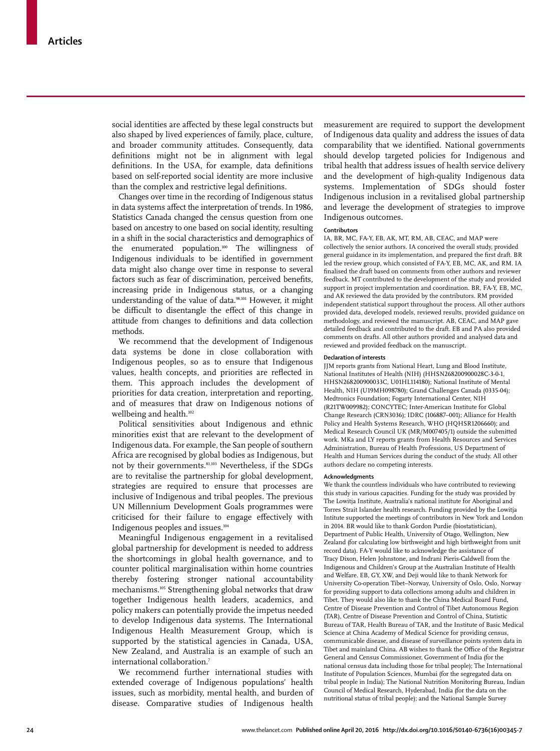social identities are affected by these legal constructs but also shaped by lived experiences of family, place, culture, and broader community attitudes. Consequently, data definitions might not be in alignment with legal definitions. In the USA, for example, data definitions based on self-reported social identity are more inclusive than the complex and restrictive legal definitions.

Changes over time in the recording of Indigenous status in data systems affect the interpretation of trends. In 1986, Statistics Canada changed the census question from one based on ancestry to one based on social identity, resulting in a shift in the social characteristics and demographics of the enumerated population.100 The willingness of Indigenous individuals to be identified in government data might also change over time in response to several factors such as fear of discrimination, perceived benefits, increasing pride in Indigenous status, or a changing understanding of the value of data.98,101 However, it might be difficult to disentangle the effect of this change in attitude from changes to definitions and data collection methods.

We recommend that the development of Indigenous data systems be done in close collaboration with Indigenous peoples, so as to ensure that Indigenous values, health concepts, and priorities are reflected in them. This approach includes the development of priorities for data creation, interpretation and reporting, and of measures that draw on Indigenous notions of wellbeing and health.<sup>102</sup>

Political sensitivities about Indigenous and ethnic minorities exist that are relevant to the development of Indigenous data. For example, the San people of southern Africa are recognised by global bodies as Indigenous, but not by their governments.81,103 Nevertheless, if the SDGs are to revitalise the partnership for global development, strategies are required to ensure that processes are inclusive of Indigenous and tribal peoples. The previous UN Millennium Development Goals programmes were criticised for their failure to engage effectively with Indigenous peoples and issues.104

Meaningful Indigenous engagement in a revitalised global partnership for development is needed to address the shortcomings in global health governance, and to counter political marginalisation within home countries thereby fostering stronger national accountability mechanisms.105 Strengthening global networks that draw together Indigenous health leaders, academics, and policy makers can potentially provide the impetus needed to develop Indigenous data systems. The International Indigenous Health Measurement Group, which is supported by the statistical agencies in Canada, USA, New Zealand, and Australia is an example of such an international collaboration.7

We recommend further international studies with extended coverage of Indigenous populations' health issues, such as morbidity, mental health, and burden of disease. Comparative studies of Indigenous health measurement are required to support the development of Indigenous data quality and address the issues of data comparability that we identified. National governments should develop targeted policies for Indigenous and tribal health that address issues of health service delivery and the development of high-quality Indigenous data systems. Implementation of SDGs should foster Indigenous inclusion in a revitalised global partnership and leverage the development of strategies to improve Indigenous outcomes.

## **Contributors**

IA, BR, MC, FA-Y, EB, AK, MT, RM, AB, CEAC, and MAP were collectively the senior authors. IA conceived the overall study, provided general guidance in its implementation, and prepared the first draft. BR led the review group, which consisted of FA-Y, EB, MC, AK, and RM. IA finalised the draft based on comments from other authors and reviewer feedback. MT contributed to the development of the study and provided support in project implementation and coordination. BR, FA-Y, EB, MC, and AK reviewed the data provided by the contributors. RM provided independent statistical support throughout the process. All other authors provided data, developed models, reviewed results, provided guidance on methodology, and reviewed the manuscript. AB, CEAC, and MAP gave detailed feedback and contributed to the draft. EB and PA also provided comments on drafts. All other authors provided and analysed data and reviewed and provided feedback on the manuscript.

#### **Declaration of interests**

JJM reports grants from National Heart, Lung and Blood Institute, National Institutes of Health (NIH) (HHSN268200900028C-3-0-1, HHSN268200900033C, U01HL114180); National Institute of Mental Health, NIH (U19MH098780); Grand Challenges Canada (0335-04); Medtronics Foundation; Fogarty International Center, NIH (R21TW009982); CONCYTEC; Inter-American Institute for Global Change Research (CRN3036); IDRC (106887–001); Alliance for Health Policy and Health Systems Research, WHO (HQHSR1206660); and Medical Research Council UK (MR/M007405/1) outside the submitted work. MKa and LY reports grants from Health Resources and Services Administration, Bureau of Health Professions, US Department of Health and Human Services during the conduct of the study. All other authors declare no competing interests.

#### **Acknowledgments**

We thank the countless individuals who have contributed to reviewing this study in various capacities. Funding for the study was provided by The Lowitja Institute, Australia's national institute for Aboriginal and Torres Strait Islander health research. Funding provided by the Lowitja Intitute supported the meetings of contributors in New York and London in 2014. BR would like to thank Gordon Purdie (biostatistician), Department of Public Health, University of Otago, Wellington, New Zealand (for calculating low birthweight and high birthweight from unit record data). FA-Y would like to acknowledge the assistance of Tracy Dixon, Helen Johnstone, and Indrani Pieris-Caldwell from the Indigenous and Children's Group at the Australian Institute of Health and Welfare. EB, GY, XW, and Deji would like to thank Network for University Co-operation Tibet–Norway, University of Oslo, Oslo, Norway for providing support to data collections among adults and children in Tibet. They would also like to thank the China Medical Board Fund, Centre of Disease Prevention and Control of Tibet Autonomous Region (TAR), Centre of Disease Prevention and Control of China, Statistic Bureau of TAR, Health Bureau of TAR, and the Institute of Basic Medical Science at China Academy of Medical Science for providing census, communicable disease, and disease of surveillance points system data in Tibet and mainland China. AB wishes to thank the Office of the Registrar General and Census Commissioner, Government of India (for the national census data including those for tribal people); The International Institute of Population Sciences, Mumbai (for the segregated data on tribal people in India); The National Nutrition Monitoring Bureau, Indian Council of Medical Research, Hyderabad, India (for the data on the nutritional status of tribal people); and the National Sample Survey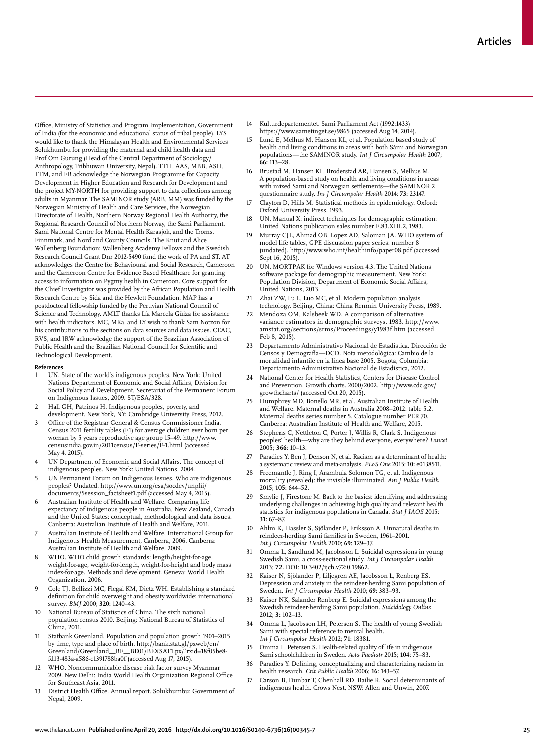Office, Ministry of Statistics and Program Implementation, Government of India (for the economic and educational status of tribal people). LYS would like to thank the Himalayan Health and Environmental Services Solukhumbu for providing the maternal and child health data and Prof Om Gurung (Head of the Central Department of Sociology/ Anthropology, Tribhuwan University, Nepal). TTH, AAS, MBB, ASH, TTM, and EB acknowledge the Norwegian Programme for Capacity Development in Higher Education and Research for Development and the project MY-NORTH for providing support to data collections among adults in Myanmar. The SAMINOR study (ARB, MM) was funded by the Norwegian Ministry of Health and Care Services, the Norwegian Directorate of Health, Northern Norway Regional Health Authority, the Regional Research Council of Northern Norway, the Sami Parliament, Sami National Centre for Mental Health Karasjok, and the Troms, Finnmark, and Nordland County Councils. The Knut and Alice Wallenberg Foundation: Wallenberg Academy Fellows and the Swedish Research Council Grant Dnr 2012-5490 fund the work of PA and ST. AT acknowledges the Centre for Behavioural and Social Research, Cameroon and the Cameroon Centre for Evidence Based Healthcare for granting access to information on Pygmy health in Cameroon. Core support for the Chief Investigator was provided by the African Population and Health Research Centre by Sida and the Hewlett Foundation. MAP has a postdoctoral fellowship funded by the Peruvian National Council of Science and Technology. AMLT thanks Lía Marcela Güiza for assistance with health indicators. MC, MKa, and LY wish to thank Sam Notzon for his contributions to the sections on data sources and data issues. CEAC, RVS, and JRW acknowledge the support of the Brazilian Association of Public Health and the Brazilian National Council for Scientific and Technological Development.

#### **References**

- 1 UN. State of the world's indigenous peoples. New York: United Nations Department of Economic and Social Affairs, Division for Social Policy and Development, Secretariat of the Permanent Forum on Indigenous Issues, 2009. ST/ESA/328.
- 2 Hall GH, Patrinos H. Indigenous peoples, poverty, and development. New York, NY: Cambridge University Press, 2012.
- 3 Office of the Registrar General & Census Commissioner India. Census 2011 fertility tables (F1) for average children ever born per woman by 5 years reproductive age group 15–49. http://www. censusindia.gov.in/2011census/F-series/F-1.html (accessed May 4, 2015).
- 4 UN Department of Economic and Social Affairs. The concept of indigenous peoples. New York: United Nations, 2004.
- UN Permanent Forum on Indigenous Issues. Who are indigenous peoples? Undated. http://www.un.org/esa/socdev/unpfii/ documents/5session\_factsheet1.pdf (accessed May 4, 2015).
- 6 Australian Institute of Health and Welfare. Comparing life expectancy of indigenous people in Australia, New Zealand, Canada and the United States: conceptual, methodological and data issues. Canberra: Australian Institute of Health and Welfare, 2011.
- 7 Australian Institute of Health and Welfare. International Group for Indigenous Health Measurement, Canberra, 2006. Canberra: Australian Institute of Health and Welfare, 2009.
- WHO. WHO child growth standards: length/height-for-age, weight-for-age, weight-for-length, weight-for-height and body mass index-for-age. Methods and development. Geneva: World Health Organization, 2006.
- 9 Cole TJ, Bellizzi MC, Flegal KM, Dietz WH. Establishing a standard definition for child overweight and obesity worldwide: international survey. *BMJ* 2000; **320:** 1240–43.
- 10 National Bureau of Statistics of China. The sixth national population census 2010. Beijing: National Bureau of Statistics of China, 2011.
- 11 Statbank Greenland. Population and population growth 1901–2015 by time, type and place of birth. http://bank.stat.gl/pxweb/en/ Greenland/Greenland\_\_BE\_\_BE01/BEXSAT1.px/?rxid=18f05be8 fd13-483a-a586-c139f788ba0f (accessed Aug 17, 2015).
- WHO. Noncommunicable disease risk factor survey Myanmar 2009. New Delhi: India World Health Organization Regional Office for Southeast Asia, 2011.
- 13 District Health Office. Annual report. Solukhumbu: Government of Nepal, 2009.
- 14 Kulturdepartementet. Sami Parliament Act (1992:1433) https://www.sametinget.se/9865 (accessed Aug 14, 2014).
- 15 Lund E, Melhus M, Hansen KL, et al. Population based study of health and living conditions in areas with both Sámi and Norwegian populations—the SAMINOR study. *Int J Circumpolar Health* 2007; **66:** 113–28.
- 16 Brustad M, Hansen KL, Broderstad AR, Hansen S, Melhus M. A population-based study on health and living conditions in areas with mixed Sami and Norwegian settlements—the SAMINOR 2 questionnaire study. *Int J Circumpolar Health* 2014; **73:** 23147.
- Clayton D, Hills M. Statistical methods in epidemiology. Oxford: Oxford University Press, 1993.
- 18 UN. Manual X: indirect techniques for demographic estimation: United Nations publication sales number E.83.XIII.2, 1983.
- 19 Murray CJL, Ahmad OB, Lopez AD, Saloman JA. WHO system of model life tables, GPE discussion paper series: number 8 (undated). http://www.who.int/healthinfo/paper08.pdf (accessed Sept 16, 2015).
- 20 UN. MORTPAK for Windows version 4.3. The United Nations software package for demographic measurement. New York: Population Division, Department of Economic Social Affairs, United Nations, 2013.
- Zhai ZW, Lu L, Luo MC, et al. Modern population analysis technology. Beijing, China: China Renmin University Press, 1989.
- Mendoza OM, Kalsbeek WD. A comparison of alternative variance estimators in demographic surveys. 1983. http://www. amstat.org/sections/srms/Proceedings/y1983f.htm (accessed Feb 8, 2015).
- 23 Departamento Administrativo Nacional de Estadística. Dirección de Censos y Demografía—DCD. Nota metodológica: Cambio de la mortalidad infantile en la linea base 2005. Bogota, Columbia: Departamento Administrativo Nacional de Estadística, 2012.
- National Center for Health Statistics, Centers for Disease Control and Prevention. Growth charts. 2000/2002. http://www.cdc.gov/ growthcharts/ (accessed Oct 20, 2015).
- 25 Humphrey MD, Bonello MR, et al. Australian Institute of Health and Welfare. Maternal deaths in Australia 2008–2012: table 5.2. Maternal deaths series number 5. Catalogue number PER 70. Canberra: Australian Institute of Health and Welfare, 2015.
- 26 Stephens C, Nettleton C, Porter J, Willis R, Clark S. Indigenous peoples' health—why are they behind everyone, everywhere? *Lancet* 2005; **366:** 10–13.
- Paradies Y, Ben J, Denson N, et al. Racism as a determinant of health: a systematic review and meta-analysis. *PLoS One* 2015; **10:** e0138511.
- 28 Freemantle J, Ring I, Arambula Solomon TG, et al. Indigenous mortality (revealed): the invisible illuminated. *Am J Public Health* 2015; **105:** 644–52.
- 29 Smylie J, Firestone M. Back to the basics: identifying and addressing underlying challenges in achieving high quality and relevant health statistics for indigenous populations in Canada. *Stat J IAOS* 2015; **31:** 67–87.
- 30 Ahlm K, Hassler S, Sjölander P, Eriksson A. Unnatural deaths in reindeer-herding Sami families in Sweden, 1961–2001. *Int J Circumpolar Health* 2010; **69:** 129–37.
- 31 Omma L, Sandlund M, Jacobsson L. Suicidal expressions in young Swedish Sami, a cross-sectional study. *Int J Circumpolar Health* 2013; **72.** DOI: 10.3402/ijch.v72i0.19862.
- 32 Kaiser N, Sjölander P, Liljegren AE, Jacobsson L, Renberg ES. Depression and anxiety in the reindeer-herding Sami population of Sweden. *Int J Circumpolar Health* 2010; **69:** 383–93.
- 33 Kaiser NK, Salander Renberg E. Suicidal expressions among the Swedish reindeer-herding Sami population. *Suicidology Online* 2012; **3:** 102–13.
- 34 Omma L, Jacobsson LH, Petersen S. The health of young Swedish Sami with special reference to mental health. *Int J Circumpolar Health* 2012; **71:** 18381.
- 35 Omma L, Petersen S. Health-related quality of life in indigenous Sami schoolchildren in Sweden. *Acta Paediatr* 2015; **104**: 75–83.
- 36 Paradies Y. Defining, conceptualizing and characterizing racism in health research. *Crit Public Health* 2006; **16:** 143–57.
- 37 Carson B, Dunbar T, Chenhall RD, Bailie R. Social determinants of indigenous health. Crows Nest, NSW: Allen and Unwin, 2007.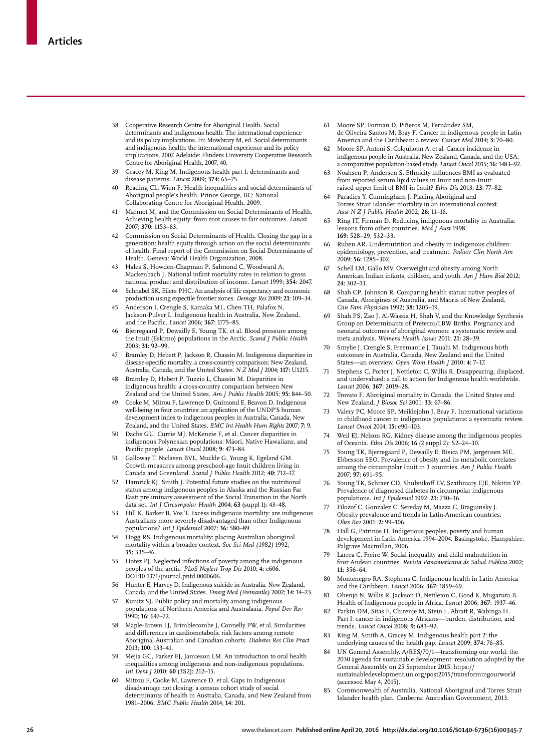- 38 Cooperative Research Centre for Aboriginal Health. Social determinants and indigenous health: The international experience and its policy implications. In: Mowbrary M, ed. Social determinants and indigenous health: the international experience and its policy implications, 2007. Adelaide: Flinders University Cooperative Research Centre for Aboriginal Health, 2007, 40.
- 39 Gracey M, King M. Indigenous health part 1: determinants and disease patterns. *Lancet* 2009; **374:** 65–75.
- 40 Reading CL, Wien F. Health inequalities and social determinants of Aboriginal people's health. Prince George, BC: National Collaborating Centre for Aboriginal Health, 2009.
- 41 Marmot M, and the Commission on Social Determinants of Health. Achieving health equity: from root causes to fair outcomes. *Lancet* 2007; **370:** 1153–63.
- 42 Commission on Social Determinants of Health. Closing the gap in a generation: health equity through action on the social determinants of health. Final report of the Commission on Social Determinants of Health. Geneva: World Health Organization, 2008.
- 43 Hales S, Howden-Chapman P, Salmond C, Woodward A, Mackenbach J. National infant mortality rates in relation to gross national product and distribution of income. *Lancet* 1999; **354:** 2047.
- 44 Schnabel SK, Eilers PHC. An analysis of life expectancy and economic production using expectile frontier zones. *Demogr Res* 2009; **21:** 109–34.
- 45 Anderson I, Crengle S, Kamaka ML, Chen TH, Palafox N, Jackson-Pulver L. Indigenous health in Australia, New Zealand, and the Pacific. *Lancet* 2006; 367: 1775-85.
- 46 Bjerregaard P, Dewailly E, Young TK, et al. Blood pressure among the Inuit (Eskimo) populations in the Arctic. *Scand J Public Health* 2003; **31:** 92–99.
- Bramley D, Hebert P, Jackson R, Chassin M. Indigenous disparities in disease-specific mortality, a cross-country comparison: New Zealand, Australia, Canada, and the United States. *N Z Med J* 2004; **117:** U1215.
- 48 Bramley D, Hebert P, Tuzzio L, Chassin M. Disparities in indigenous health: a cross-country comparison between New Zealand and the United States. *Am J Public Health* 2005; **95:** 844–50.
- 49 Cooke M, Mitrou F, Lawrence D, Guimond E, Beavon D. Indigenous well-being in four countries: an application of the UNDP'S human development index to indigenous peoples in Australia, Canada, New Zealand, and the United States. *BMC Int Health Hum Rights* 2007; **7:** 9.
- 50 Dachs GU, Currie MJ, McKenzie F, et al. Cancer disparities in indigenous Polynesian populations: Māori, Native Hawaiians, and Pacific people. *Lancet Oncol* 2008; 9: 473-84.
- 51 Galloway T, Niclasen BVL, Muckle G, Young K, Egeland GM. Growth measures among preschool-age Inuit children living in Canada and Greenland. *Scand J Public Health* 2012; **40:** 712–17.
- 52 Hamrick KJ, Smith J. Potential future studies on the nutritional status among indigenous peoples in Alaska and the Russian Far East: preliminary assessment of the Social Transition in the North data set. *Int J Circumpolar Health* 2004; **63** (suppl 1)**:** 43–48.
- 53 Hill K, Barker B, Vos T. Excess indigenous mortality: are indigenous Australians more severely disadvantaged than other Indigenous populations? *Int J Epidemiol* 2007; **36:** 580–89.
- 54 Hogg RS. Indigenous mortality: placing Australian aboriginal mortality within a broader context. *Soc Sci Med (1982)* 1992; **35:** 335–46.
- 55 Hotez PJ. Neglected infections of poverty among the indigenous peoples of the arctic. *PLoS Neglect Trop Dis* 2010; **4:** e606. DOI:10.1371/journal.pntd.0000606.
- Hunter E, Harvey D. Indigenous suicide in Australia, New Zealand, Canada, and the United States. *Emerg Med (Fremantle)* 2002; **14:** 14–23.
- 57 Kunitz SJ. Public policy and mortality among indigenous populations of Northern America and Australasia. *Popul Dev Rev* 1990; **16:** 647–72.
- 58 Maple-Brown LJ, Brimblecombe J, Connelly PW, et al. Similarities and differences in cardiometabolic risk factors among remote Aboriginal Australian and Canadian cohorts. *Diabetes Res Clin Pract* 2013; **100:** 133–41.
- 59 Mejia GC, Parker EJ, Jamieson LM. An introduction to oral health inequalities among indigenous and non-indigenous populations. *Int Dent J* 2010; **60** (3S2)**:** 212–15.
- 60 Mitrou F, Cooke M, Lawrence D, et al. Gaps in Indigenous disadvantage not closing: a census cohort study of social determinants of health in Australia, Canada, and New Zealand from 1981–2006. *BMC Public Health* 2014; **14:** 201.
- 61 Moore SP, Forman D, Piñeros M, Fernández SM, de Oliveira Santos M, Bray F. Cancer in indigenous people in Latin America and the Caribbean: a review. *Cancer Med* 2014; **3:** 70–80.
- Moore SP, Antoni S, Colquhoun A, et al. Cancer incidence in indigenous people in Australia, New Zealand, Canada, and the USA: a comparative population-based study. *Lancet Oncol* 2015; **16:** 1483–92.
- 63 Noahsen P, Andersen S. Ethnicity influences BMI as evaluated from reported serum lipid values in Inuit and non-Inuit: raised upper limit of BMI in Inuit? *Ethn Dis* 2013; **23:** 77–82.
- 64 Paradies Y, Cunningham J. Placing Aboriginal and Torres Strait Islander mortality in an international context. *Aust N Z J Public Health* 2002; **26:** 11–16.
- 65 Ring IT, Firman D. Reducing indigenous mortality in Australia: lessons from other countries. *Med J Aust* 1998; **169:** 528–29, 532–33.
- 66 Ruben AR. Undernutrition and obesity in indigenous children: epidemiology, prevention, and treatment. *Pediatr Clin North Am* 2009; **56:** 1285–302.
- 67 Schell LM, Gallo MV. Overweight and obesity among North American Indian infants, children, and youth. *Am J Hum Biol* 2012; **24:** 302–13.
- 68 Shah CP, Johnson R. Comparing health status: native peoples of Canada, Aborigines of Australia, and Maoris of New Zealand. *Can Fam Physician* 1992; **38:** 1205–19.
- 69 Shah PS, Zao J, Al-Wassia H, Shah V, and the Knowledge Synthesis Group on Determinants of Preterm/LBW Births. Pregnancy and neonatal outcomes of aboriginal women: a systematic review and meta-analysis. *Womens Health Issues* 2011; **21:** 28–39.
- 70 Smylie J, Crengle S, Freemantle J, Taualii M. Indigenous birth outcomes in Australia, Canada, New Zealand and the United States—an overview. *Open Wom Health J* 2010; **4:** 7–17.
- 71 Stephens C, Porter J, Nettleton C, Willis R. Disappearing, displaced, and undervalued: a call to action for Indigenous health worldwide. *Lancet* 2006; **367:** 2019–28.
- 72 Trovato F. Aboriginal mortality in Canada, the United States and New Zealand. *J Biosoc Sci* 2001; **33:** 67–86.
- 73 Valery PC, Moore SP, Meiklejohn J, Bray F. International variations in childhood cancer in indigenous populations: a systematic review. *Lancet Oncol* 2014; **15:** e90–103.
- Weil EJ, Nelson RG. Kidney disease among the indigenous peoples of Oceania. *Ethn Dis* 2006; **16** (2 suppl 2)**:** S2–24–30.
- 75 Young TK, Bjerregaard P, Dewailly E, Risica PM, Jørgensen ME, Ebbesson SEO. Prevalence of obesity and its metabolic correlates among the circumpolar Inuit in 3 countries. *Am J Public Health* 2007; **97:** 691–95.
- 76 Young TK, Schraer CD, Shubnikoff EV, Szathmary EJE, Nikitin YP. Prevalence of diagnosed diabetes in circumpolar indigenous populations. *Int J Epidemiol* 1992; **21:** 730–36.
- 77 Filozof C, Gonzalez C, Sereday M, Mazza C, Braguinsky J. Obesity prevalence and trends in Latin-American countries. *Obes Rev* 2001; **2:** 99–106.
- 78 Hall G, Patrinos H. Indigenous peoples, poverty and human development in Latin America 1994–2004. Basingstoke, Hampshire: Palgrave Macmillan, 2006.
- Larrea C, Freire W. Social inequality and child malnutrition in four Andean countries. *Revista Panamericana de Salud Publica* 2002; **11:** 356–64.
- 80 Montenegro RA, Stephens C. Indigenous health in Latin America and the Caribbean. *Lancet* 2006; **367:** 1859–69.
- 81 Ohenjo N, Willis R, Jackson D, Nettleton C, Good K, Mugarura B. Health of Indigenous people in Africa. *Lancet* 2006; **367:** 1937–46.
- 82 Parkin DM, Sitas F, Chirenje M, Stein L, Abratt R, Wabinga H. Part I: cancer in indigenous Africans—burden, distribution, and trends. *Lancet Oncol* 2008; **9:** 683–92.
- 83 King M, Smith A, Gracey M. Indigenous health part 2: the underlying causes of the health gap. *Lancet* 2009; **374:** 76–85.
- 84 UN General Assembly. A/RES/70/1—transforming our world: the 2030 agenda for sustainable development: resolution adopted by the General Assembly on 25 September 2015. https:// sustainabledevelopment.un.org/post2015/transformingourworld (accessed May 4, 2015).
- 85 Commonwealth of Australia. National Aboriginal and Torres Strait Islander health plan. Canberra: Australian Government, 2013.